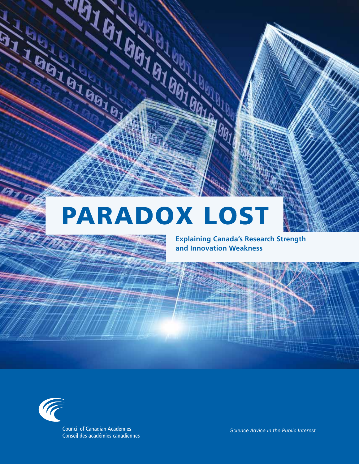## **PARADOX LOST**

**Explaining Canada's Research Strength and Innovation Weakness**



**Council of Canadian Academies** Conseil des académies canadiennes

<u>पक्ष</u>

**CALLAGIAN AT** 

*Science Advice in the Public Interest*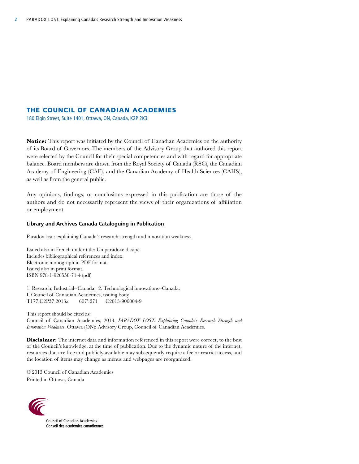#### The Council of Canadian Academies

180 Elgin Street, Suite 1401, Ottawa, ON, Canada, K2P 2K3

**Notice:** This report was initiated by the Council of Canadian Academies on the authority of its Board of Governors. The members of the Advisory Group that authored this report were selected by the Council for their special competencies and with regard for appropriate balance. Board members are drawn from the Royal Society of Canada (RSC), the Canadian Academy of Engineering (CAE), and the Canadian Academy of Health Sciences (CAHS), as well as from the general public.

Any opinions, findings, or conclusions expressed in this publication are those of the authors and do not necessarily represent the views of their organizations of affiliation or employment.

#### **Library and Archives Canada Cataloguing in Publication**

Paradox lost : explaining Canada's research strength and innovation weakness.

Issued also in French under title: Un paradoxe dissipé. Includes bibliographical references and index. Electronic monograph in PDF format. Issued also in print format. ISBN 978-1-926558-71-4 (pdf)

1. Research, Industrial--Canada. 2. Technological innovations--Canada. I. Council of Canadian Academies, issuing body T177.C2P37 2013a 607'.271 C2013-906004-9

This report should be cited as: Council of Canadian Academies, 2013. *PARADOX LOST: Explaining Canada's Research Strength and Innovation Weakness*. Ottawa (ON): Advisory Group, Council of Canadian Academies.

**Disclaimer:** The internet data and information referenced in this report were correct, to the best of the Council's knowledge, at the time of publication. Due to the dynamic nature of the internet, resources that are free and publicly available may subsequently require a fee or restrict access, and the location of items may change as menus and webpages are reorganized.

© 2013 Council of Canadian Academies Printed in Ottawa, Canada



**Council of Canadian Academies** Conseil des académies canadiennes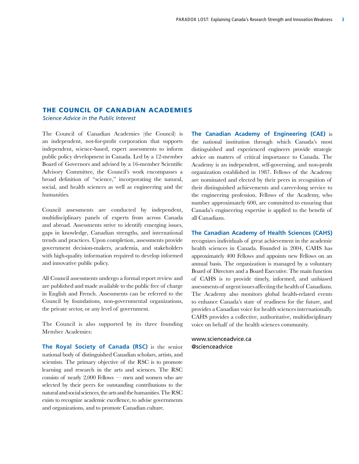#### The Council of Canadian Academies *Science Advice in the Public Interest*

The Council of Canadian Academies (the Council) is an independent, not-for-profit corporation that supports independent, science-based, expert assessments to inform public policy development in Canada. Led by a 12-member Board of Governors and advised by a 16-member Scientific Advisory Committee, the Council's work encompasses a broad definition of "science," incorporating the natural, social, and health sciences as well as engineering and the humanities.

Council assessments are conducted by independent, multidisciplinary panels of experts from across Canada and abroad. Assessments strive to identify emerging issues, gaps in knowledge, Canadian strengths, and international trends and practices. Upon completion, assessments provide government decision-makers, academia, and stakeholders with high-quality information required to develop informed and innovative public policy.

All Council assessments undergo a formal report review and are published and made available to the public free of charge in English and French. Assessments can be referred to the Council by foundations, non-governmental organizations, the private sector, or any level of government.

The Council is also supported by its three founding Member Academies:

**The Royal Society of Canada (RSC)** is the senior national body of distinguished Canadian scholars, artists, and scientists. The primary objective of the RSC is to promote learning and research in the arts and sciences. The RSC consists of nearly 2,000 Fellows — men and women who are selected by their peers for outstanding contributions to the natural and social sciences, the arts and the humanities. The RSC exists to recognize academic excellence, to advise governments and organizations, and to promote Canadian culture.

**The Canadian Academy of Engineering (CAE)** is the national institution through which Canada's most distinguished and experienced engineers provide strategic advice on matters of critical importance to Canada. The Academy is an independent, self-governing, and non-profit organization established in 1987. Fellows of the Academy are nominated and elected by their peers in recognition of their distinguished achievements and career-long service to the engineering profession. Fellows of the Academy, who number approximately 600, are committed to ensuring that Canada's engineering expertise is applied to the benefit of all Canadians.

#### **The Canadian Academy of Health Sciences (CAHS)**

recognizes individuals of great achievement in the academic health sciences in Canada. Founded in 2004, CAHS has approximately 400 Fellows and appoints new Fellows on an annual basis. The organization is managed by a voluntary Board of Directors and a Board Executive. The main function of CAHS is to provide timely, informed, and unbiased assessments of urgent issues affecting the health of Canadians. The Academy also monitors global health-related events to enhance Canada's state of readiness for the future, and provides a Canadian voice for health sciences internationally. CAHS provides a collective, authoritative, multidisciplinary voice on behalf of the health sciences community.

www.scienceadvice.ca @scienceadvice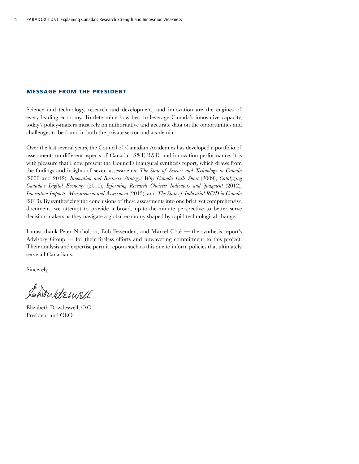#### Message from the President

Science and technology, research and development, and innovation are the engines of every leading economy. To determine how best to leverage Canada's innovative capacity, today's policy-makers must rely on authoritative and accurate data on the opportunities and challenges to be found in both the private sector and academia.

Over the last several years, the Council of Canadian Academies has developed a portfolio of assessments on different aspects of Canada's S&T, R&D, and innovation performance. It is with pleasure that I now present the Council's inaugural synthesis report, which draws from the findings and insights of seven assessments: *The State of Science and Technology in Canada* (2006 and 2012), *Innovation and Business Strategy: Why Canada Falls Short (2009), Catalyzing Canada's Digital Economy* (2010), *Informing Research Choices: Indicators and Judgment* (2012), *Innovation Impacts: Measurement and Assessment* (2013), and *The State of Industrial R&D in Canada* (2013). By synthesizing the conclusions of these assessments into one brief yet comprehensive document, we attempt to provide a broad, up-to-the-minute perspective to better serve decision-makers as they navigate a global economy shaped by rapid technological change.

I must thank Peter Nicholson, Bob Fessenden, and Marcel Côté — the synthesis report's Advisory Group — for their tireless efforts and unwavering commitment to this project. Their analysis and expertise permit reports such as this one to inform policies that ultimately serve all Canadians.

Sincerely,

Carrideswell

Elizabeth Dowdeswell, O.C. President and CEO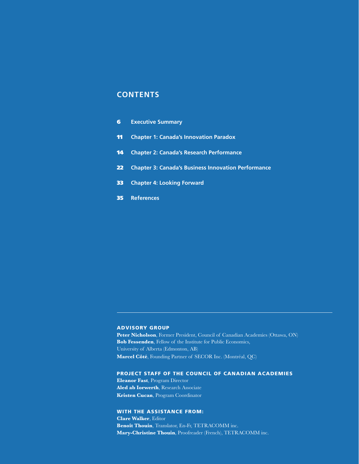#### **Contents**

| 6 | <b>Executive Summary</b> |
|---|--------------------------|
|   |                          |

- 11 **Chapter 1: Canada's Innovation Paradox**
- 14 **Chapter 2: Canada's Research Performance**
- 22 **Chapter 3: Canada's Business Innovation Performance**
- 33 **Chapter 4: Looking Forward**
- 35 **References**

#### Advisory Group

Peter Nicholson, Former President, Council of Canadian Academies (Ottawa, ON) **Bob Fessenden**, Fellow of the Institute for Public Economics, University of Alberta (Edmonton, AB) **Marcel Côté**, Founding Partner of SECOR Inc. (Montréal, QC)

#### Project Staff of the Council of Canadian Academies

**Eleanor Fast**, Program Director **Aled ab Iorwerth**, Research Associate **Kristen Cucan**, Program Coordinator

#### With the assistance from:

**Clare Walker**, Editor **Benoît Thouin**, Translator, En-Fr, TETRACOMM inc. **Mary-Christine Thouin**, Proofreader (French), TETRACOMM inc.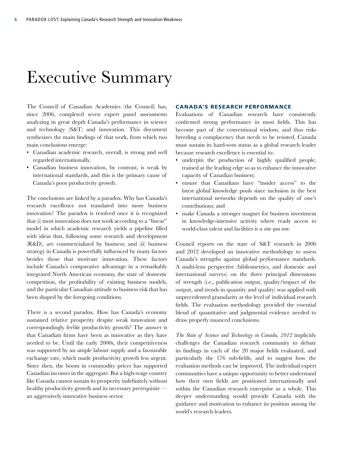### Executive Summary

The Council of Canadian Academies (the Council) has, since 2006, completed seven expert panel assessments analyzing in great depth Canada's performance in science and technology (S&T) and innovation. This document synthesizes the main findings of that work, from which two main conclusions emerge:

- Canadian academic research, overall, is strong and well regarded internationally.
- Canadian business innovation, by contrast, is weak by international standards, and this is the primary cause of Canada's poor productivity growth.

The conclusions are linked by a paradox. Why has Canada's research excellence not translated into more business innovation? The paradox is resolved once it is recognized that (i) most innovation does not work according to a "linear" model in which academic research yields a pipeline filled with ideas that, following some research and development (R&D), are commercialized by business; and (ii) business strategy in Canada is powerfully influenced by many factors besides those that motivate innovation. These factors include Canada's comparative advantage in a remarkably integrated North American economy, the state of domestic competition, the profitability of existing business models, and the particular Canadian attitude to business risk that has been shaped by the foregoing conditions.

There is a second paradox. How has Canada's economy sustained relative prosperity despite weak innovation and correspondingly feeble productivity growth? The answer is that Canadian firms have been as innovative as they have needed to be. Until the early 2000s, their competitiveness was supported by an ample labour supply and a favourable exchange rate, which made productivity growth less urgent. Since then, the boom in commodity prices has supported Canadian incomes in the aggregate. But a high-wage country like Canada cannot sustain its prosperity indefinitely without healthy productivity growth and its necessary prerequisite an aggressively innovative business sector.

#### Canada's Research Performance

Evaluations of Canadian research have consistently confirmed strong performance in most fields. This has become part of the conventional wisdom, and thus risks breeding a complacency that needs to be resisted. Canada must sustain its hard-won status as a global research leader because research excellence is essential to:

- underpin the production of highly qualified people, trained at the leading edge so as to enhance the innovative capacity of Canadian business;
- ensure that Canadians have "insider access" to the latest global knowledge pools since inclusion in the best international networks depends on the quality of one's contributions; and
- make Canada a stronger magnet for business investment in knowledge-intensive activity where ready access to world-class talent and facilities is a *sine qua non*.

Council reports on the state of S&T research in 2006 and 2012 developed an innovative methodology to assess Canada's strengths against global performance standards. A multi-lens perspective (bibliometrics, and domestic and international surveys) on the three principal dimensions of strength (i.e., publication output, quality/impact of the output, and trends in quantity and quality) was applied with unprecedented granularity at the level of individual research fields. The evaluation methodology provided the essential blend of quantitative and judgmental evidence needed to draw properly nuanced conclusions.

*The State of Science and Technology in Canada, 2012* implicitly challenges the Canadian research community to debate its findings in each of the 20 major fields evaluated, and particularly the 176 sub-fields, and to suggest how the evaluation methods can be improved. The individual expert communities have a unique opportunity to better understand how their own fields are positioned internationally and within the Canadian research enterprise as a whole. This deeper understanding would provide Canada with the guidance and motivation to enhance its position among the world's research leaders.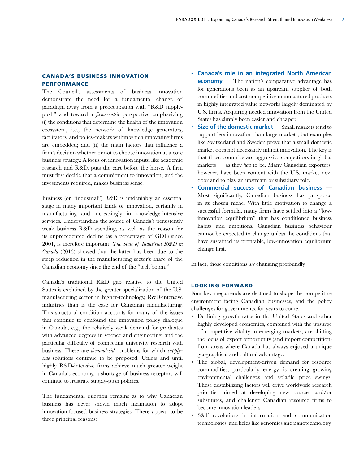#### Canada's Business Innovation Performance

The Council's assessments of business innovation demonstrate the need for a fundamental change of paradigm away from a preoccupation with "R&D supplypush" and toward a *firm-centric* perspective emphasizing (i) the conditions that determine the health of the innovation ecosystem, i.e., the network of knowledge generators, facilitators, and policy-makers within which innovating firms are embedded; and (ii) the main factors that influence a firm's decision whether or not to choose innovation as a core business strategy. A focus on innovation inputs, like academic research and R&D, puts the cart before the horse. A firm must first decide that a commitment to innovation, and the investments required, makes business sense.

Business (or "industrial") R&D is undeniably an essential stage in many important kinds of innovation, certainly in manufacturing and increasingly in knowledge-intensive services. Understanding the source of Canada's persistently weak business R&D spending, as well as the reason for its unprecedented decline (as a percentage of GDP) since 2001, is therefore important. *The State of Industrial R&D in Canada* (2013) showed that the latter has been due to the steep reduction in the manufacturing sector's share of the Canadian economy since the end of the "tech boom."

Canada's traditional R&D gap relative to the United States is explained by the greater specialization of the U.S. manufacturing sector in higher-technology, R&D-intensive industries than is the case for Canadian manufacturing. This structural condition accounts for many of the issues that continue to confound the innovation policy dialogue in Canada, e.g., the relatively weak demand for graduates with advanced degrees in science and engineering, and the particular difficulty of connecting university research with business. These are *demand-side* problems for which *supplyside* solutions continue to be proposed. Unless and until highly R&D-intensive firms achieve much greater weight in Canada's economy, a shortage of business receptors will continue to frustrate supply-push policies.

The fundamental question remains as to why Canadian business has never shown much inclination to adopt innovation-focused business strategies. There appear to be three principal reasons:

- **Canada's role in an integrated North American economy** — The nation's comparative advantage has for generations been as an upstream supplier of both commodities and cost-competitive manufactured products in highly integrated value networks largely dominated by U.S. firms. Acquiring needed innovation from the United States has simply been easier and cheaper.
- **Size of the domestic market**Small markets tend to support less innovation than large markets, but examples like Switzerland and Sweden prove that a small domestic market does not necessarily inhibit innovation. The key is that these countries are aggressive competitors in global markets — as they *had* to be. Many Canadian exporters, however, have been content with the U.S. market next door and to play an upstream or subsidiary role.
- **Commercial success of Canadian business** Most significantly, Canadian business has prospered in its chosen niche. With little motivation to change a successful formula, many firms have settled into a "lowinnovation equilibrium" that has conditioned business habits and ambitions. Canadian business behaviour cannot be expected to change unless the conditions that have sustained its profitable, low-innovation equilibrium change first.

In fact, those conditions *are* changing profoundly.

#### Looking Forward

Four key megatrends are destined to shape the competitive environment facing Canadian businesses, and the policy challenges for governments, for years to come:

- Declining growth rates in the United States and other highly developed economies, combined with the upsurge of competitive vitality in emerging markets, are shifting the locus of export opportunity (and import competition) from areas where Canada has always enjoyed a unique geographical and cultural advantage.
- The global, development-driven demand for resource commodities, particularly energy, is creating growing environmental challenges and volatile price swings. These destabilizing factors will drive worldwide research priorities aimed at developing new sources and/or substitutes, and challenge Canadian resource firms to become innovation leaders.
- S&T revolutions in information and communication technologies, and fields like genomics and nanotechnology,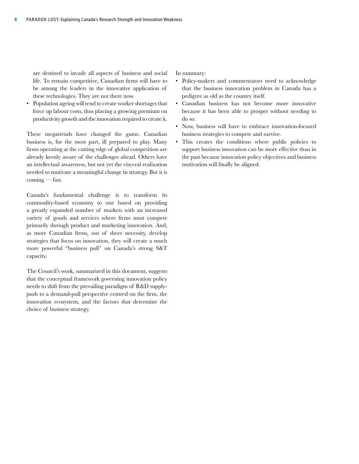are destined to invade all aspects of business and social life. To remain competitive, Canadian firms will have to be among the leaders in the innovative application of these technologies. They are not there now.

• Population ageing will tend to create worker shortages that force up labour costs, thus placing a growing premium on productivity growth and the innovation required to create it.

These megatrends have changed the game. Canadian business is, for the most part, ill prepared to play. Many firms operating at the cutting edge of global competition are already keenly aware of the challenges ahead. Others have an intellectual awareness, but not yet the visceral realization needed to motivate a meaningful change in strategy. But it is coming — fast.

Canada's fundamental challenge is to transform its commodity-based economy to one based on providing a greatly expanded number of markets with an increased variety of goods and services where firms must compete primarily through product and marketing innovation. And, as more Canadian firms, out of sheer necessity, develop strategies that focus on innovation, they will create a much more powerful "business pull" on Canada's strong S&T capacity.

The Council's work, summarized in this document, suggests that the conceptual framework governing innovation policy needs to shift from the prevailing paradigm of R&D supplypush to a demand-pull perspective centred on the firm, the innovation ecosystem, and the factors that determine the choice of business strategy.

In summary:

- Policy-makers and commentators need to acknowledge that the business innovation problem in Canada has a pedigree as old as the country itself.
- Canadian business has not become more innovative because it has been able to prosper without needing to do so.
- Now, business will have to embrace innovation-focused business strategies to compete and survive.
- This creates the conditions where public policies to support business innovation can be more effective than in the past because innovation policy objectives and business motivation will finally be aligned.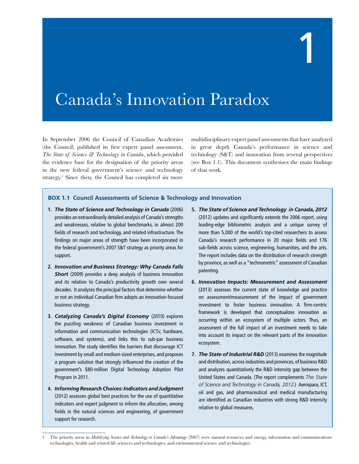## 1

## Canada's Innovation Paradox

In September 2006 the Council of Canadian Academies (the Council) published its first expert panel assessment, *The State of Science & Technology in Canada*, which provided the evidence base for the designation of the priority areas in the new federal government's science and technology strategy.<sup>1</sup> Since then, the Council has completed six more

multidisciplinary expert panel assessments that have analyzed in great depth Canada's performance in science and technology (S&T) and innovation from several perspectives (see Box 1.1). This document synthesizes the main findings of that work.

#### **BOX 1.1 Council Assessments of Science & Technology and Innovation**

- **1.** *The State of Science and Technology in Canada* (2006) provides an extraordinarily detailed analysis of Canada's strengths and weaknesses, relative to global benchmarks, in almost 200 fields of research and technology, and related infrastructure. The findings on major areas of strength have been incorporated in the federal government's 2007 S&T strategy as priority areas for support.
- **2.** *Innovation and Business Strategy: Why Canada Falls*  **Short** (2009) provides a deep analysis of business innovation and its relation to Canada's productivity growth over several decades. It analyzes the principal factors that determine whether or not an individual Canadian firm adopts an innovation-focused business strategy.
- **3.** *Catalyzing Canada's Digital Economy* (2010) explores the puzzling weakness of Canadian business investment in information and communication technologies (ICTs; hardware, software, and systems), and links this to sub-par business innovation. The study identifies the barriers that discourage ICT investment by small and medium-sized enterprises, and proposes a program solution that strongly influenced the creation of the government's \$80-million Digital Technology Adoption Pilot Program in 2011.
- **4.** *Informing Research Choices: Indicators and Judgment* (2012) assesses global best practices for the use of quantitative indicators and expert judgment to inform the allocation, among fields in the natural sciences and engineering, of government support for research.

l -

- **5.** *The State of Science and Technology in Canada, 2012* (2012) updates and significantly extends the 2006 report, using leading-edge bibliometric analysis and a unique survey of more than 5,000 of the world's top-cited researchers to assess Canada's research performance in 20 major fields and 176 sub-fields across science, engineering, humanities, and the arts. The report includes data on the distribution of research strength by province, as well as a "technometric" assessment of Canadian patenting.
- **6.** *Innovation Impacts: Measurement and Assessment* (2013) assesses the current state of knowledge and practice on assessment/measurement of the impact of government investment to foster business innovation. A firm-centric framework is developed that conceptualizes innovation as occurring within an ecosystem of multiple actors. Thus, an assessment of the full impact of an investment needs to take into account its impact on the relevant parts of the innovation ecosystem.
- **7.** *The State of Industrial R&D* (2013) examines the magnitude and distribution, across industries and provinces, of business R&D and analyzes quantitatively the R&D intensity gap between the United States and Canada. (The report complements *The State of Science and Technology in Canada, 2012*.) Aerospace, ICT, oil and gas, and pharmaceutical and medical manufacturing are identified as Canadian industries with strong R&D intensity relative to global measures.

<sup>1</sup> The priority areas in *Mobilizing Science and Technology to Canada's Advantage* (2007) were natural resources and energy, information and communications technologies, health and related life sciences and technologies, and environmental science and technologies.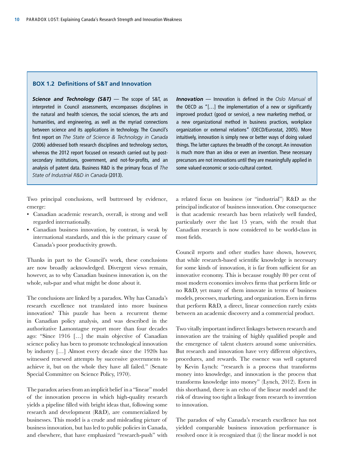#### **BOX 1.2 Definitions of S&T and Innovation**

*Science and Technology (S&T)* — The scope of S&T, as interpreted in Council assessments, encompasses disciplines in the natural and health sciences, the social sciences, the arts and humanities, and engineering, as well as the myriad connections between science and its applications in technology. The Council's first report on *The State of Science & Technology in Canada* (2006) addressed both research disciplines and technology sectors, whereas the 2012 report focused on research carried out by postsecondary institutions, government, and not-for-profits, and an analysis of patent data. Business R&D is the primary focus of *The State of Industrial R&D in Canada* (2013).

Two principal conclusions, well buttressed by evidence, emerge:

- Canadian academic research, overall, is strong and well regarded internationally.
- Canadian business innovation, by contrast, is weak by international standards, and this is the primary cause of Canada's poor productivity growth.

Thanks in part to the Council's work, these conclusions are now broadly acknowledged. Divergent views remain, however, as to why Canadian business innovation is, on the whole, sub-par and what might be done about it.

The conclusions are linked by a paradox. Why has Canada's research excellence not translated into more business innovation? This puzzle has been a recurrent theme in Canadian policy analysis, and was described in the authoritative Lamontagne report more than four decades ago: "Since 1916 […] the main objective of Canadian science policy has been to promote technological innovation by industry […] Almost every decade since the 1920s has witnessed renewed attempts by successive governments to achieve it, but on the whole they have all failed." (Senate Special Committee on Science Policy, 1970).

The paradox arises from an implicit belief in a "linear" model of the innovation process in which high-quality research yields a pipeline filled with bright ideas that, following some research and development (R&D), are commercialized by businesses. This model is a crude and misleading picture of business innovation, but has led to public policies in Canada, and elsewhere, that have emphasized "research-push" with

*Innovation* — Innovation is defined in the *Oslo Manual* of the OECD as "[…] the implementation of a new or significantly improved product (good or service), a new marketing method, or a new organizational method in business practices, workplace organization or external relations" (OECD/Eurostat, 2005). More intuitively, innovation is simply new or better ways of doing valued things. The latter captures the breadth of the concept. An innovation is much more than an idea or even an invention. These necessary precursors are not innovations until they are meaningfully applied in some valued economic or socio-cultural context.

a related focus on business (or "industrial") R&D as the principal indicator of business innovation. One consequence is that academic research has been relatively well funded, particularly over the last 15 years, with the result that Canadian research is now considered to be world-class in most fields.

Council reports and other studies have shown, however, that while research-based scientific knowledge is necessary for some kinds of innovation, it is far from sufficient for an innovative economy. This is because roughly 80 per cent of most modern economies involves firms that perform little or no R&D, yet many of them innovate in terms of business models, processes, marketing, and organization. Even in firms that perform R&D, a direct, linear connection rarely exists between an academic discovery and a commercial product.

Two vitally important indirect linkages between research and innovation are the training of highly qualified people and the emergence of talent clusters around some universities. But research and innovation have very different objectives, procedures, and rewards. The essence was well captured by Kevin Lynch: "research is a process that transforms money into knowledge, and innovation is the process that transforms knowledge into money" (Lynch, 2012). Even in this shorthand, there is an echo of the linear model and the risk of drawing too tight a linkage from research to invention to innovation.

The paradox of why Canada's research excellence has not yielded comparable business innovation performance is resolved once it is recognized that (i) the linear model is not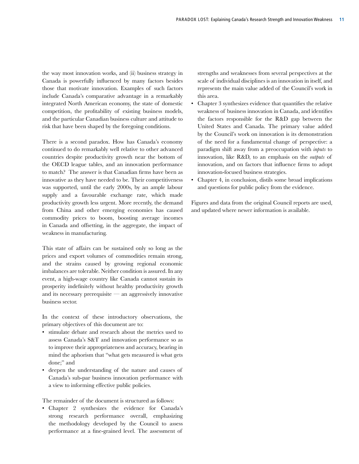the way most innovation works, and (ii) business strategy in Canada is powerfully influenced by many factors besides those that motivate innovation. Examples of such factors include Canada's comparative advantage in a remarkably integrated North American economy, the state of domestic competition, the profitability of existing business models, and the particular Canadian business culture and attitude to risk that have been shaped by the foregoing conditions.

There is a second paradox. How has Canada's economy continued to do remarkably well relative to other advanced countries despite productivity growth near the bottom of the OECD league tables, and an innovation performance to match? The answer is that Canadian firms have been as innovative as they have needed to be. Their competitiveness was supported, until the early 2000s, by an ample labour supply and a favourable exchange rate, which made productivity growth less urgent. More recently, the demand from China and other emerging economies has caused commodity prices to boom, boosting average incomes in Canada and offsetting, in the aggregate, the impact of weakness in manufacturing.

This state of affairs can be sustained only so long as the prices and export volumes of commodities remain strong, and the strains caused by growing regional economic imbalances are tolerable. Neither condition is assured. In any event, a high-wage country like Canada cannot sustain its prosperity indefinitely without healthy productivity growth and its necessary prerequisite — an aggressively innovative business sector.

In the context of these introductory observations, the primary objectives of this document are to:

- stimulate debate and research about the metrics used to assess Canada's S&T and innovation performance so as to improve their appropriateness and accuracy, bearing in mind the aphorism that "what gets measured is what gets done;" and
- deepen the understanding of the nature and causes of Canada's sub-par business innovation performance with a view to informing effective public policies.

The remainder of the document is structured as follows:

• Chapter 2 synthesizes the evidence for Canada's strong research performance overall, emphasizing the methodology developed by the Council to assess performance at a fine-grained level. The assessment of strengths and weaknesses from several perspectives at the scale of individual disciplines is an innovation in itself, and represents the main value added of the Council's work in this area.

- Chapter 3 synthesizes evidence that quantifies the relative weakness of business innovation in Canada, and identifies the factors responsible for the R&D gap between the United States and Canada. The primary value added by the Council's work on innovation is its demonstration of the need for a fundamental change of perspective: a paradigm shift away from a preoccupation with *inputs* to innovation, like R&D, to an emphasis on the *outputs* of innovation, and on factors that influence firms to adopt innovation-focused business strategies.
- Chapter 4, in conclusion, distils some broad implications and questions for public policy from the evidence.

Figures and data from the original Council reports are used, and updated where newer information is available.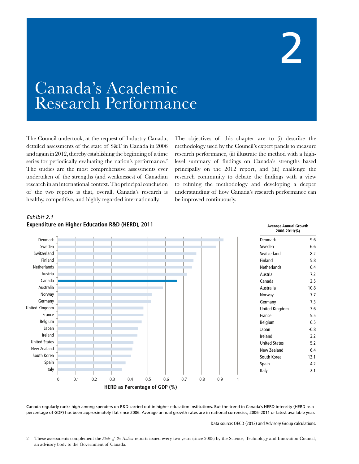

### Canada's Academic Research Performance

The Council undertook, at the request of Industry Canada, detailed assessments of the state of S&T in Canada in 2006 and again in 2012, thereby establishing the beginning of a time series for periodically evaluating the nation's performance.<sup>2</sup> The studies are the most comprehensive assessments ever undertaken of the strengths (and weaknesses) of Canadian research in an international context. The principal conclusion of the two reports is that, overall, Canada's research is healthy, competitive, and highly regarded internationally.

The objectives of this chapter are to (i) describe the methodology used by the Council's expert panels to measure research performance, (ii) illustrate the method with a highlevel summary of findings on Canada's strengths based principally on the 2012 report, and (iii) challenge the research community to debate the findings with a view to refining the methodology and developing a deeper understanding of how Canada's research performance can be improved continuously.



#### *Exhibit 2.1* **Expenditure on Higher Education R&D (HERD), 2011** Average Annual Growth **Average Annual Growth**

Canada regularly ranks high among spenders on R&D carried out in higher education institutions. But the trend in Canada's HERD intensity (HERD as a percentage of GDP) has been approximately flat since 2006. Average annual growth rates are in national currencies; 2006–2011 or latest available year.

Data source: OECD (2013) and Advisory Group calculations.

<sup>2</sup> These assessments complement the *State of the Nation* reports issued every two years (since 2008) by the Science, Technology and Innovation Council, an advisory body to the Government of Canada.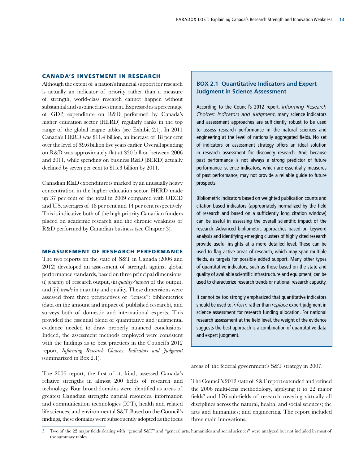#### Canada's Investment in Research

Although the extent of a nation's financial support for research is actually an indicator of priority rather than a measure of strength, world-class research cannot happen without substantial and sustained investment. Expressed as a percentage of GDP, expenditure on R&D performed by Canada's higher education sector (HERD) regularly ranks in the top range of the global league tables (see Exhibit 2.1). In 2011 Canada's HERD was \$11.4 billion, an increase of 18 per cent over the level of \$9.6 billion five years earlier. Overall spending on R&D was approximately flat at \$30 billion between 2006 and 2011, while spending on business R&D (BERD) actually declined by seven per cent to \$15.3 billion by 2011.

Canadian R&D expenditure is marked by an unusually heavy concentration in the higher education sector. HERD made up 37 per cent of the total in 2009 compared with OECD and U.S. averages of 18 per cent and 14 per cent respectively. This is indicative both of the high priority Canadian funders placed on academic research and the chronic weakness of R&D performed by Canadian business (see Chapter 3).

#### Measurement of Research Performance

The two reports on the state of S&T in Canada (2006 and 2012) developed an assessment of strength against global performance standards, based on three principal dimensions: (i) *quantity* of research output, (ii) *quality/impact* of the output, and (iii) *trends* in quantity and quality. These dimensions were assessed from three perspectives or "lenses": bibliometrics (data on the amount and impact of published research), and surveys both of domestic and international experts. This provided the essential blend of quantitative and judgmental evidence needed to draw properly nuanced conclusions. Indeed, the assessment methods employed were consistent with the findings as to best practices in the Council's 2012 report, *Informing Research Choices: Indicators and Judgment* (summarized in Box 2.1).

The 2006 report, the first of its kind, assessed Canada's relative strengths in almost 200 fields of research and technology. Four broad domains were identified as areas of greatest Canadian strength: natural resources, information and communication technologies (ICT), health and related life sciences, and environmental S&T. Based on the Council's findings, these domains were subsequently adopted as the focus

#### **BOX 2.1 Quantitative Indicators and Expert Judgment in Science Assessment**

According to the Council's 2012 report, *Informing Research Choices: Indicators and Judgment*, many science indicators and assessment approaches are sufficiently robust to be used to assess research performance in the natural sciences and engineering at the level of nationally aggregated fields. No set of indicators or assessment strategy offers an ideal solution in research assessment for discovery research. And, because past performance is not always a strong predictor of future performance, science indicators, which are essentially measures of past performance, may not provide a reliable guide to future prospects.

Bibliometric indicators based on weighted publication counts and citation-based indicators (appropriately normalized by the field of research and based on a sufficiently long citation window) can be useful in assessing the overall scientific impact of the research. Advanced bibliometric approaches based on keyword analysis and identifying emerging clusters of highly cited research provide useful insights at a more detailed level. These can be used to flag active areas of research, which may span multiple fields, as targets for possible added support. Many other types of quantitative indicators, such as those based on the state and quality of available scientific infrastructure and equipment, can be used to characterize research trends or national research capacity.

It cannot be too strongly emphasized that quantitative indicators should be used to *inform* rather than *replace* expert judgment in science assessment for research funding allocation. For national research assessment at the field level, the weight of the evidence suggests the best approach is a combination of quantitative data and expert judgment.

areas of the federal government's S&T strategy in 2007.

The Council's 2012 state of S&T report extended and refined the 2006 multi-lens methodology, applying it to 22 major fields<sup>3</sup> and 176 sub-fields of research covering virtually all disciplines across the natural, health, and social sciences; the arts and humanities; and engineering. The report included three main innovations.

<sup>3</sup> Two of the 22 major fields dealing with "general S&T" and "general arts, humanities and social sciences" were analyzed but not included in most of the summary tables.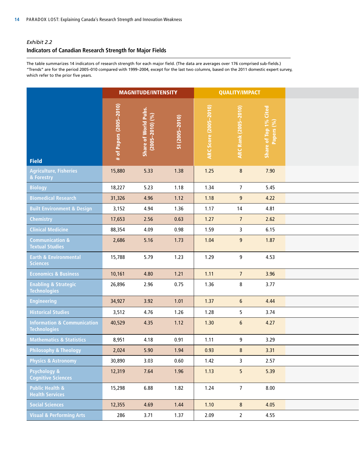#### *Exhibit 2.2*

#### **Indicators of Canadian Research Strength for Major Fields**

The table summarizes 14 indicators of research strength for each major field. (The data are averages over 176 comprised sub-fields.) "Trends" are for the period 2005–010 compared with 1999–2004, except for the last two columns, based on the 2011 domestic expert survey, which refer to the prior five years.

|                                                               | <b>MAGNITUDE/INTENSITY</b> |                                        |                | <b>QUALITY/IMPACT</b>    |                                  |                                     |
|---------------------------------------------------------------|----------------------------|----------------------------------------|----------------|--------------------------|----------------------------------|-------------------------------------|
| Field                                                         | # of Papers (2005-2010)    | Share of World Pubs<br>(2005–2010) (%) | SI (2005-2010) | Score (2005-2010)<br>ARC | <b>ARC Rank (2005-2010)</b>      | Share of Top 1% Cited<br>Papers (%) |
| Agriculture, Fisheries<br>& Forestry                          | 15,880                     | 5.33                                   | 1.38           | $1.25$                   | $8\phantom{.}$                   | 7.90                                |
| Biology                                                       | 18,227                     | 5.23                                   | 1.18           | 1.34                     | $\overline{7}$                   | 5.45                                |
| <b>Biomedical Research</b>                                    | 31,326                     | 4.96                                   | 1.12           | 1.18                     | 9                                | 4.22                                |
| <b>Built Environment &amp; Design</b>                         | 3,152                      | 4.94                                   | 1.36           | 1.17                     | 14                               | 4.81                                |
| Chemistry                                                     | 17,653                     | 2.56                                   | 0.63           | 1.27                     | $\overline{7}$                   | 2.62                                |
| <b>Clinical Medicine</b>                                      | 88,354                     | 4.09                                   | 0.98           | 1.59                     | $\overline{3}$                   | 6.15                                |
| <b>Communication &amp;</b><br><b>Textual Studies</b>          | 2,686                      | 5.16                                   | 1.73           | 1.04                     | $\overline{9}$                   | 1.87                                |
| <b>Earth &amp; Environmental</b><br>Sciences                  | 15,788                     | 5.79                                   | 1.23           | 1.29                     | 9                                | 4.53                                |
| <b>Economics &amp; Business</b>                               | 10,161                     | 4.80                                   | 1.21           | 1.11                     | $\overline{7}$                   | 3.96                                |
| <b>Enabling &amp; Strategic</b><br>Technologies               | 26,896                     | 2.96                                   | 0.75           | 1.36                     | $\bf 8$                          | 3.77                                |
| <b>Engineering</b>                                            | 34,927                     | 3.92                                   | 1.01           | 1.37                     | $6\phantom{.}$                   | 4.44                                |
| <b>Historical Studies</b>                                     | 3,512                      | 4.76                                   | 1.26           | 1.28                     | 5 <sub>1</sub>                   | 3.74                                |
| <b>Information &amp; Communication</b><br><b>Technologies</b> | 40,529                     | 4.35                                   | 1.12           | 1.30                     | $6\phantom{.}$                   | 4.27                                |
| <b>Mathematics &amp; Statistics</b>                           | 8,951                      | 4.18                                   | 0.91           | 1.11                     | 9                                | 3.29                                |
| Philosophy & Theology                                         | 2,024                      | 5.90                                   | 1.94           | 0.93                     | $\begin{array}{c} 8 \end{array}$ | 3.31                                |
| <b>Physics &amp; Astronomy</b>                                | 30,890                     | 3.03                                   | 0.60           | 1.42                     | $\overline{3}$                   | 2.57                                |
| Psychology &<br>Cognitive Sciences                            | 12,319                     | 7.64                                   | 1.96           | 1.13                     | 5 <sub>1</sub>                   | 5.39                                |
| <b>Public Health &amp;</b><br><b>Health Services</b>          | 15,298                     | 6.88                                   | 1.82           | 1.24                     | $\overline{7}$                   | 8.00                                |
| <b>Social Sciences</b>                                        | 12,355                     | 4.69                                   | 1.44           | 1.10                     | 8                                | 4.05                                |
| <b>Visual &amp; Performing Arts</b>                           | 286                        | 3.71                                   | 1.37           | 2.09                     | $\overline{2}$                   | 4.55                                |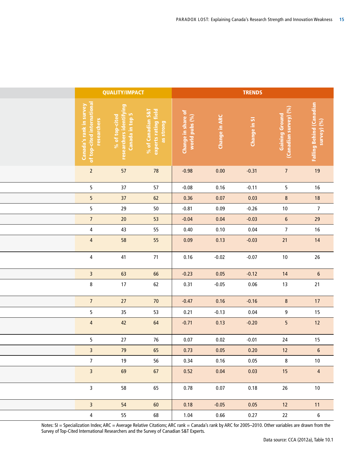| Falling Behind (Canadian<br>survey) (%)<br>Gaining Ground<br>(Canadian survey) (%)<br>% of Canadian S&T<br>experts rating field<br>as strong<br>Change in share of<br>world pubs (%)<br><b>Change in ARC</b><br>Change in SI<br>19<br>78<br>$0.00\,$<br>$-0.31$<br>7 <sup>7</sup><br>$-0.98$<br>16<br>$57\,$<br>$-0.08$<br>0.16<br>$-0.11$<br>5 <sub>1</sub><br>18<br>$62\,$<br>0.07<br>0.36<br>0.03<br>8<br>7 <sup>7</sup><br>0.09<br>$50\,$<br>$-0.26$<br>10<br>$-0.81$<br>29<br>53<br>0.04<br>$-0.04$<br>$-0.03$<br>$6\overline{6}$<br>16<br>55<br>0.10<br>0.40<br>0.04<br>$\overline{7}$<br>14<br>55<br>21<br>0.09<br>0.13<br>$-0.03$<br>$26\,$<br>71<br>0.16<br>$-0.02$<br>$-0.07$<br>10<br>6 <sup>1</sup><br>66<br>$-0.23$<br>0.05<br>$-0.12$<br>14<br>62<br>21<br>$-0.05$<br>0.06<br>13<br>0.31<br>17<br>$70$<br>$-0.47$<br>0.16<br>$-0.16$<br>8<br>15<br>$-0.13$<br>53<br>0.04<br>0.21<br>9<br>12<br>64<br>$-0.71$<br>0.13<br>$-0.20$<br>5 <sub>1</sub><br>$15\phantom{.0}$<br>$76\,$<br>$0.07\,$<br>0.02<br>24<br>$-0.01$<br>$6\degree$<br>0.73<br>12<br>0.05<br>0.20 |    | % of top-cited<br>researchers identifying<br>Canada in top 5<br>57<br>37<br>37<br>29<br>20 | Canada's rank in survey<br>of top-cited international<br>researchers<br>$\overline{2}$<br>5 <sub>5</sub><br>5 <sub>5</sub><br>5 <sub>5</sub><br>$\overline{7}$ |
|--------------------------------------------------------------------------------------------------------------------------------------------------------------------------------------------------------------------------------------------------------------------------------------------------------------------------------------------------------------------------------------------------------------------------------------------------------------------------------------------------------------------------------------------------------------------------------------------------------------------------------------------------------------------------------------------------------------------------------------------------------------------------------------------------------------------------------------------------------------------------------------------------------------------------------------------------------------------------------------------------------------------------------------------------------------------------------|----|--------------------------------------------------------------------------------------------|----------------------------------------------------------------------------------------------------------------------------------------------------------------|
|                                                                                                                                                                                                                                                                                                                                                                                                                                                                                                                                                                                                                                                                                                                                                                                                                                                                                                                                                                                                                                                                                |    |                                                                                            |                                                                                                                                                                |
|                                                                                                                                                                                                                                                                                                                                                                                                                                                                                                                                                                                                                                                                                                                                                                                                                                                                                                                                                                                                                                                                                |    |                                                                                            |                                                                                                                                                                |
|                                                                                                                                                                                                                                                                                                                                                                                                                                                                                                                                                                                                                                                                                                                                                                                                                                                                                                                                                                                                                                                                                |    |                                                                                            |                                                                                                                                                                |
|                                                                                                                                                                                                                                                                                                                                                                                                                                                                                                                                                                                                                                                                                                                                                                                                                                                                                                                                                                                                                                                                                |    |                                                                                            |                                                                                                                                                                |
|                                                                                                                                                                                                                                                                                                                                                                                                                                                                                                                                                                                                                                                                                                                                                                                                                                                                                                                                                                                                                                                                                |    |                                                                                            |                                                                                                                                                                |
|                                                                                                                                                                                                                                                                                                                                                                                                                                                                                                                                                                                                                                                                                                                                                                                                                                                                                                                                                                                                                                                                                |    |                                                                                            |                                                                                                                                                                |
|                                                                                                                                                                                                                                                                                                                                                                                                                                                                                                                                                                                                                                                                                                                                                                                                                                                                                                                                                                                                                                                                                |    | 43                                                                                         | $\overline{4}$                                                                                                                                                 |
|                                                                                                                                                                                                                                                                                                                                                                                                                                                                                                                                                                                                                                                                                                                                                                                                                                                                                                                                                                                                                                                                                |    | 58                                                                                         | $\overline{4}$                                                                                                                                                 |
|                                                                                                                                                                                                                                                                                                                                                                                                                                                                                                                                                                                                                                                                                                                                                                                                                                                                                                                                                                                                                                                                                |    | 41                                                                                         | $\overline{4}$                                                                                                                                                 |
|                                                                                                                                                                                                                                                                                                                                                                                                                                                                                                                                                                                                                                                                                                                                                                                                                                                                                                                                                                                                                                                                                |    | 63                                                                                         | $\overline{\mathbf{3}}$                                                                                                                                        |
|                                                                                                                                                                                                                                                                                                                                                                                                                                                                                                                                                                                                                                                                                                                                                                                                                                                                                                                                                                                                                                                                                |    | 17                                                                                         | 8                                                                                                                                                              |
|                                                                                                                                                                                                                                                                                                                                                                                                                                                                                                                                                                                                                                                                                                                                                                                                                                                                                                                                                                                                                                                                                |    | 27                                                                                         | $7\overline{ }$                                                                                                                                                |
|                                                                                                                                                                                                                                                                                                                                                                                                                                                                                                                                                                                                                                                                                                                                                                                                                                                                                                                                                                                                                                                                                |    | 35 <sub>1</sub>                                                                            | 5 <sub>5</sub>                                                                                                                                                 |
|                                                                                                                                                                                                                                                                                                                                                                                                                                                                                                                                                                                                                                                                                                                                                                                                                                                                                                                                                                                                                                                                                |    | 42                                                                                         | $\overline{4}$                                                                                                                                                 |
|                                                                                                                                                                                                                                                                                                                                                                                                                                                                                                                                                                                                                                                                                                                                                                                                                                                                                                                                                                                                                                                                                |    | 27                                                                                         | $5\overline{)}$                                                                                                                                                |
|                                                                                                                                                                                                                                                                                                                                                                                                                                                                                                                                                                                                                                                                                                                                                                                                                                                                                                                                                                                                                                                                                | 65 | 79                                                                                         | $\overline{\mathbf{3}}$                                                                                                                                        |
| 56<br>10<br>0.34<br>0.16<br>0.05<br>8                                                                                                                                                                                                                                                                                                                                                                                                                                                                                                                                                                                                                                                                                                                                                                                                                                                                                                                                                                                                                                          |    | 19                                                                                         | $\overline{7}$                                                                                                                                                 |
| 67<br>0.52<br>0.04<br>0.03<br>15<br>$\overline{4}$                                                                                                                                                                                                                                                                                                                                                                                                                                                                                                                                                                                                                                                                                                                                                                                                                                                                                                                                                                                                                             |    | 69                                                                                         | $\overline{\mathbf{3}}$                                                                                                                                        |
| 65<br>0.78<br>0.07<br>0.18<br>26<br>10                                                                                                                                                                                                                                                                                                                                                                                                                                                                                                                                                                                                                                                                                                                                                                                                                                                                                                                                                                                                                                         |    |                                                                                            |                                                                                                                                                                |
| 60<br>11<br>0.18<br>$-0.05$<br>0.05<br>12                                                                                                                                                                                                                                                                                                                                                                                                                                                                                                                                                                                                                                                                                                                                                                                                                                                                                                                                                                                                                                      |    | 58                                                                                         | $\overline{\mathbf{3}}$                                                                                                                                        |
| 55<br>68<br>1.04<br>0.66<br>22<br>0.27<br>6                                                                                                                                                                                                                                                                                                                                                                                                                                                                                                                                                                                                                                                                                                                                                                                                                                                                                                                                                                                                                                    |    | 54                                                                                         | 3 <sup>7</sup>                                                                                                                                                 |

Notes: SI = Specialization Index; ARC = Average Relative Citations; ARC rank = Canada's rank by ARC for 2005–2010. Other variables are drawn from the Survey of Top-Cited International Researchers and the Survey of Canadian S&T Experts.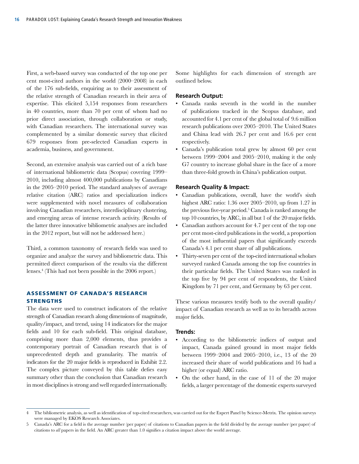First, a web-based survey was conducted of the top one per cent most-cited authors in the world (2000–2008) in each of the 176 sub-fields, enquiring as to their assessment of the relative strength of Canadian research in their area of expertise. This elicited 5,154 responses from researchers in 40 countries, more than 70 per cent of whom had no prior direct association, through collaboration or study, with Canadian researchers. The international survey was complemented by a similar domestic survey that elicited 679 responses from pre-selected Canadian experts in academia, business, and government.

Second, an extensive analysis was carried out of a rich base of international bibliometric data (Scopus) covering 1999– 2010, including almost 400,000 publications by Canadians in the 2005–2010 period. The standard analyses of average relative citation (ARC) ratios and specialization indices were supplemented with novel measures of collaboration involving Canadian researchers, interdisciplinary clustering, and emerging areas of intense research activity. (Results of the latter three innovative bibliometric analyses are included in the 2012 report, but will not be addressed here.)

Third, a common taxonomy of research fields was used to organize and analyze the survey and bibliometric data. This permitted direct comparison of the results via the different lenses.4 (This had not been possible in the 2006 report.)

#### Assessment of Canada's Research **STRENGTHS**

The data were used to construct indicators of the relative strength of Canadian research along dimensions of magnitude, quality/impact, and trend, using 14 indicators for the major fields and 10 for each sub-field. This original database, comprising more than 2,000 elements, thus provides a contemporary portrait of Canadian research that is of unprecedented depth and granularity. The matrix of indicators for the 20 major fields is reproduced in Exhibit 2.2. The complex picture conveyed by this table defies easy summary other than the conclusion that Canadian research in most disciplines is strong and well regarded internationally.

Some highlights for each dimension of strength are outlined below.

#### **Research Output:**

- Canada ranks seventh in the world in the number of publications tracked in the Scopus database, and accounted for 4.1 per cent of the global total of 9.6 million research publications over 2005–2010. The United States and China lead with 26.7 per cent and 16.6 per cent respectively.
- Canada's publication total grew by almost 60 per cent between 1999–2004 and 2005–2010, making it the only G7 country to increase global share in the face of a more than three-fold growth in China's publication output.

#### **Research Quality & Impact:**

- Canadian publications, overall, have the world's sixth highest ARC ratio: 1.36 over 2005–2010, up from 1.27 in the previous five-year period.<sup>5</sup> Canada is ranked among the top 10 countries, by ARC, in all but 1 of the 20 major fields.
- Canadian authors account for 4.7 per cent of the top one per cent most-cited publications in the world, a proportion of the most influential papers that significantly exceeds Canada's 4.1 per cent share of all publications.
- Thirty-seven per cent of the top-cited international scholars surveyed ranked Canada among the top five countries in their particular fields. The United States was ranked in the top five by 94 per cent of respondents, the United Kingdom by 71 per cent, and Germany by 63 per cent.

These various measures testify both to the overall quality/ impact of Canadian research as well as to its breadth across major fields.

#### **Trends:**

- According to the bibliometric indices of output and impact, Canada gained ground in most major fields between 1999–2004 and 2005–2010, i.e., 13 of the 20 increased their share of world publications and 16 had a higher (or equal) ARC ratio.
- On the other hand, in the case of 11 of the 20 major fields, a larger percentage of the domestic experts surveyed

<sup>4</sup> The bibliometric analysis, as well as identification of top-cited researchers, was carried out for the Expert Panel by Science-Metrix. The opinion surveys were managed by EKOS Research Associates.

<sup>5</sup> Canada's ARC for a field is the average number (per paper) of citations to Canadian papers in the field divided by the average number (per paper) of citations to *all* papers in the field. An ARC greater than 1.0 signifies a citation impact above the world average.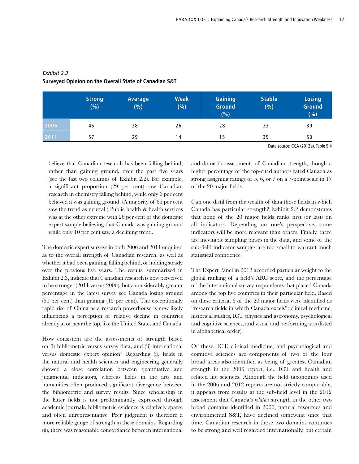|      | <b>Strong</b><br>(%) | Average<br>$(\%)^{2}$ | <b>Weak</b><br>$(\% )$ | <b>Gaining</b><br><b>Ground</b><br>(%) | <b>Stable</b><br>$(\% )$ | <b>Losing</b><br><b>Ground</b><br>(%) |
|------|----------------------|-----------------------|------------------------|----------------------------------------|--------------------------|---------------------------------------|
| 2006 | 46                   | 28                    | 26                     | 28                                     | 33                       | 39                                    |
| 2011 | 57                   | 29                    | 14                     | 15                                     | 35                       | 50                                    |
|      |                      |                       |                        |                                        |                          |                                       |

#### *Exhibit 2.3*  **Surveyed Opinion on the Overall State of Canadian S&T**

Data source: CCA (2012a), Table 5.4

believe that Canadian research has been falling behind, rather than gaining ground, over the past five years (see the last two columns of Exhibit 2.2). For example, a significant proportion (29 per cent) saw Canadian research in chemistry falling behind, while only 6 per cent believed it was gaining ground. (A majority of 65 per cent saw the trend as neutral.) Public health & health services was at the other extreme with 26 per cent of the domestic expert sample believing that Canada was gaining ground while only 10 per cent saw a declining trend.

The domestic expert surveys in both 2006 and 2011 enquired as to the overall strength of Canadian research, as well as whether it had been gaining, falling behind, or holding steady over the previous five years. The results, summarized in Exhibit 2.3, indicate that Canadian research is now perceived to be stronger (2011 versus 2006), but a considerably greater percentage in the latest survey see Canada losing ground (50 per cent) than gaining (15 per cent). The exceptionally rapid rise of China as a research powerhouse is now likely influencing a perception of relative decline in countries already at or near the top, like the United States and Canada.

How consistent are the assessments of strength based on (i) bibliometric versus survey data, and (ii) international versus domestic expert opinion? Regarding (i), fields in the natural and health sciences and engineering generally showed a close correlation between quantitative and judgmental indicators, whereas fields in the arts and humanities often produced significant divergence between the bibliometric and survey results. Since scholarship in the latter fields is not predominantly expressed through academic journals, bibliometric evidence is relatively sparse and often unrepresentative. Peer judgment is therefore a more reliable gauge of strength in these domains. Regarding (ii), there was reasonable concordance between international

and domestic assessments of Canadian strength, though a higher percentage of the top-cited authors rated Canada as strong assigning ratings of 5, 6, or 7 on a 7-point scale in 17 of the 20 major fields.

Can one distil from the wealth of data those fields in which Canada has particular strength? Exhibit 2.2 demonstrates that none of the 20 major fields ranks first (or last) on all indicators. Depending on one's perspective, some indicators will be more relevant than others. Finally, there are inevitable sampling biases in the data, and some of the sub-field indicator samples are too small to warrant much statistical confidence.

The Expert Panel in 2012 accorded particular weight to the global ranking of a field's ARC score, and the percentage of the international survey respondents that placed Canada among the top five countries in their particular field. Based on these criteria, 6 of the 20 major fields were identified as "research fields in which Canada excels": clinical medicine, historical studies, ICT, physics and astronomy, psychological and cognitive sciences, and visual and performing arts (listed in alphabetical order).

Of these, ICT, clinical medicine, and psychological and cognitive sciences are components of two of the four broad areas also identified as being of greatest Canadian strength in the 2006 report, i.e., ICT and health and related life sciences. Although the field taxonomies used in the 2006 and 2012 reports are not strictly comparable, it appears from results at the sub-field level in the 2012 assessment that Canada's *relative* strength in the other two broad domains identified in 2006, natural resources and environmental S&T, have declined somewhat since that time. Canadian research in those two domains continues to be strong and well regarded internationally, but certain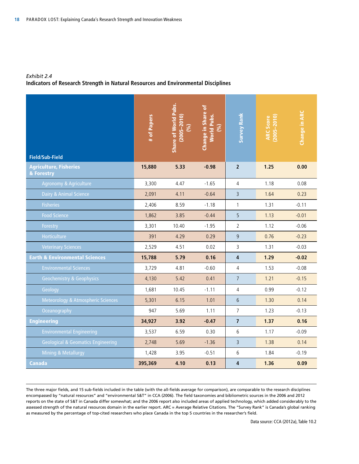#### *Exhibit 2.4*

#### **Indicators of Research Strength in Natural Resources and Environmental Disciplines**

| <b>Field/Sub-Field</b>                        | # of Papers | <b>Share of World Pubs.</b><br>$(2005 - 2010)$<br>(%) | Change in Share of<br><b>World Pubs.</b><br>(%) | <b>Survey Rank</b>      | $(2005 - 2010)$<br><b>ARC Score</b> | <b>Change in ARC</b> |
|-----------------------------------------------|-------------|-------------------------------------------------------|-------------------------------------------------|-------------------------|-------------------------------------|----------------------|
| <b>Agriculture, Fisheries</b><br>& Forestry   | 15,880      | 5.33                                                  | $-0.98$                                         | $\overline{2}$          | 1.25                                | 0.00                 |
| Agronomy & Agriculture                        | 3,300       | 4.47                                                  | $-1.65$                                         | $\overline{4}$          | 1.18                                | 0.08                 |
| Dairy & Animal Science                        | 2,091       | 4.11                                                  | $-0.64$                                         | $\overline{3}$          | 1.64                                | 0.23                 |
| <b>Fisheries</b>                              | 2,406       | 8.59                                                  | $-1.18$                                         | $\mathbf{1}$            | 1.31                                | $-0.11$              |
| <b>Food Science</b>                           | 1,862       | 3.85                                                  | $-0.44$                                         | 5                       | 1.13                                | $-0.01$              |
| Forestry                                      | 3,301       | 10.40                                                 | $-1.95$                                         | $\overline{2}$          | 1.12                                | $-0.06$              |
| Horticulture                                  | 391         | 4.29                                                  | 0.29                                            | $\overline{9}$          | 0.76                                | $-0.23$              |
| <b>Veterinary Sciences</b>                    | 2,529       | 4.51                                                  | 0.02                                            | $\mathsf{3}$            | 1.31                                | $-0.03$              |
| <b>Earth &amp; Environmental Sciences</b>     | 15,788      | 5.79                                                  | 0.16                                            | $\overline{\mathbf{4}}$ | 1.29                                | $-0.02$              |
| <b>Environmental Sciences</b>                 | 3,729       | 4.81                                                  | $-0.60$                                         | $\overline{4}$          | 1.53                                | $-0.08$              |
| <b>Geochemistry &amp; Geophysics</b>          | 4,130       | 5.42                                                  | 0.41                                            | $\overline{7}$          | 1.21                                | $-0.15$              |
| Geology                                       | 1,681       | 10.45                                                 | $-1.11$                                         | $\overline{4}$          | 0.99                                | $-0.12$              |
| Meteorology & Atmospheric Sciences            | 5,301       | 6.15                                                  | 1.01                                            | $6\phantom{a}$          | 1.30                                | 0.14                 |
| Oceanography                                  | 947         | 5.69                                                  | 1.11                                            | $\overline{7}$          | 1.23                                | $-0.13$              |
| <b>Engineering</b>                            | 34,927      | 3.92                                                  | $-0.47$                                         | $\overline{7}$          | 1.37                                | 0.16                 |
| <b>Environmental Engineering</b>              | 3,537       | 6.59                                                  | 0.30                                            | 6                       | 1.17                                | $-0.09$              |
| <b>Geological &amp; Geomatics Engineering</b> | 2,748       | 5.69                                                  | $-1.36$                                         | $\overline{3}$          | 1.38                                | 0.14                 |
| <b>Mining &amp; Metallurgy</b>                | 1,428       | 3.95                                                  | $-0.51$                                         | 6                       | 1.84                                | $-0.19$              |
| <b>Canada</b>                                 | 395,369     | 4.10                                                  | 0.13                                            | 4                       | 1.36                                | 0.09                 |

The three major fields, and 15 sub-fields included in the table (with the all-fields average for comparison), are comparable to the research disciplines encompassed by "natural resources" and "environmental S&T" in CCA (2006). The field taxonomies and bibliometric sources in the 2006 and 2012 reports on the state of S&T in Canada differ somewhat; and the 2006 report also included areas of applied technology, which added considerably to the assessed strength of the natural resources domain in the earlier report. ARC = Average Relative Citations. The "Survey Rank" is Canada's global ranking as measured by the percentage of top-cited researchers who place Canada in the top 5 countries in the researcher's field.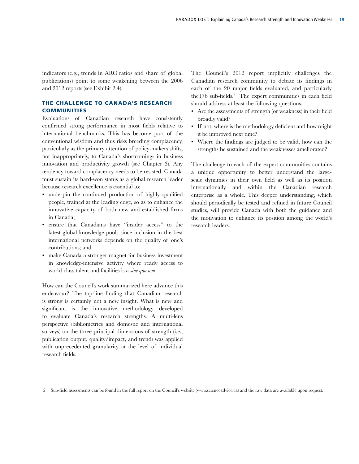indicators (e.g., trends in ARC ratios and share of global publications) point to some weakening between the 2006 and 2012 reports (see Exhibit 2.4).

#### The Challenge to Canada's Research **COMMUNITIES**

Evaluations of Canadian research have consistently confirmed strong performance in most fields relative to international benchmarks. This has become part of the conventional wisdom and thus risks breeding complacency, particularly as the primary attention of policy-makers shifts, not inappropriately, to Canada's shortcomings in business innovation and productivity growth (see Chapter 3). Any tendency toward complacency needs to be resisted. Canada must sustain its hard-won status as a global research leader because research excellence is essential to:

- underpin the continued production of highly qualified people, trained at the leading edge, so as to enhance the innovative capacity of both new and established firms in Canada;
- ensure that Canadians have "insider access" to the latest global knowledge pools since inclusion in the best international networks depends on the quality of one's contributions; and
- make Canada a stronger magnet for business investment in knowledge-intensive activity where ready access to world-class talent and facilities is a *sine qua non*.

How can the Council's work summarized here advance this endeavour? The top-line finding that Canadian research is strong is certainly not a new insight. What is new and significant is the innovative methodology developed to evaluate Canada's research strengths. A multi-lens perspective (bibliometrics and domestic and international surveys) on the three principal dimensions of strength (i.e., publication output, quality/impact, and trend) was applied with unprecedented granularity at the level of individual research fields.

The Council's 2012 report implicitly challenges the Canadian research community to debate its findings in each of the 20 major fields evaluated, and particularly the176 sub-fields.<sup>6</sup> The expert communities in each field should address at least the following questions:

- Are the assessments of strength (or weakness) in their field broadly valid?
- If not, where is the methodology deficient and how might it be improved next time?
- Where the findings are judged to be valid, how can the strengths be sustained and the weaknesses ameliorated?

The challenge to each of the expert communities contains a unique opportunity to better understand the largescale dynamics in their own field as well as its position internationally and within the Canadian research enterprise as a whole. This deeper understanding, which should periodically be tested and refined in future Council studies, will provide Canada with both the guidance and the motivation to enhance its position among the world's research leaders.

<sup>6</sup> Sub-field assessments can be found in the full report on the Council's website (www.scienceadvice.ca) and the raw data are available upon request.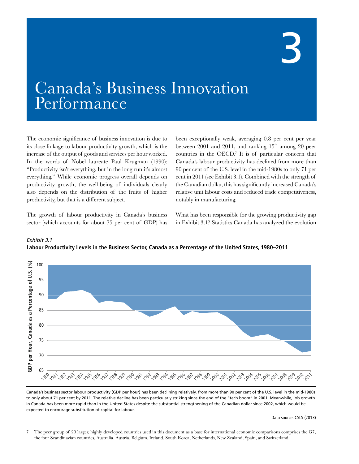## 2

### Canada's Business Innovation Performance

The economic significance of business innovation is due to its close linkage to labour productivity growth, which is the increase of the output of goods and services per hour worked. In the words of Nobel laureate Paul Krugman (1990): "Productivity isn't everything, but in the long run it's almost everything." While economic progress overall depends on productivity growth, the well-being of individuals clearly also depends on the distribution of the fruits of higher productivity, but that is a different subject.

The growth of labour productivity in Canada's business sector (which accounts for about 75 per cent of GDP) has

*Exhibit 3.1*

been exceptionally weak, averaging 0.8 per cent per year between 2001 and 2011, and ranking  $15<sup>th</sup>$  among 20 peer countries in the OECD.7 It is of particular concern that Canada's labour productivity has declined from more than 90 per cent of the U.S. level in the mid-1980s to only 71 per cent in 2011 (see Exhibit 3.1). Combined with the strength of the Canadian dollar, this has significantly increased Canada's relative unit labour costs and reduced trade competitiveness, notably in manufacturing.

What has been responsible for the growing productivity gap in Exhibit 3.1? Statistics Canada has analyzed the evolution



**Labour Productivity Levels in the Business Sector, Canada as a Percentage of the United States, 1980–2011**

Canada's business sector labour productivity (GDP per hour) has been declining relatively, from more than 90 per cent of the U.S. level in the mid-1980s to only about 71 per cent by 2011. The relative decline has been particularly striking since the end of the "tech boom" in 2001. Meanwhile, job growth in Canada has been more rapid than in the United States despite the substantial strengthening of the Canadian dollar since 2002, which would be in Canadian dollar since 2002, which would be expected to encourage substitution of capital for labour.

Data source: CSLS (2013)

<sup>7</sup> The peer group of 20 larger, highly developed countries used in this document as a base for international economic comparisons comprises the G7, the four Scandinavian countries, Australia, Austria, Belgium, Ireland, South Korea, Netherlands, New Zealand, Spain, and Switzerland.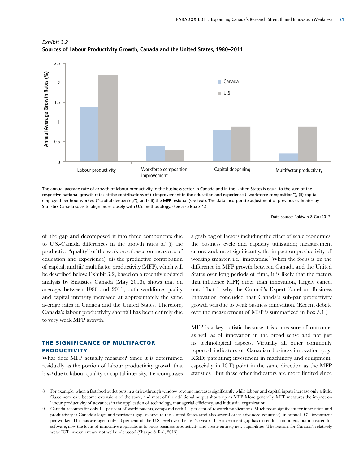

*Exhibit 3.2* **Sources of Labour Productivity Growth, Canada and the United States, 1980–2011**

The annual average rate of growth of labour productivity in the business sector in Canada and in the United States is equal to the sum of the respective national growth rates of the contributions of (i) improvement in the education and experience ("workforce composition"), (ii) capital employed per hour worked ("capital deepening"), and (iii) the MFP residual (see text). The data incorporate adjustment of previous estimates by Statistics Canada so as to align more closely with U.S. methodology. (See also Box 3.1.)

#### Data source: Baldwin & Gu (2013)

of the gap and decomposed it into three components due to U.S.-Canada differences in the growth rates of (i) the productive "quality" of the workforce (based on measures of education and experience); (ii) the productive contribution of capital; and (iii) multifactor productivity (MFP), which will be described below. Exhibit 3.2, based on a recently updated analysis by Statistics Canada (May 2013), shows that on average, between 1980 and 2011, both workforce quality and capital intensity increased at approximately the same average rates in Canada and the United States. Therefore, Canada's labour productivity shortfall has been entirely due to very weak MFP growth.

#### The Significance of Multifactor **PRODUCTIVITY**

What does MFP actually measure? Since it is determined residually as the portion of labour productivity growth that is *not* due to labour quality or capital intensity, it encompasses

a grab bag of factors including the effect of scale economies; the business cycle and capacity utilization; measurement errors; and, most significantly, the impact on productivity of working smarter, i.e., innovating.<sup>8</sup> When the focus is on the difference in MFP growth between Canada and the United States over long periods of time, it is likely that the factors that influence MFP, other than innovation, largely cancel out. That is why the Council's Expert Panel on Business Innovation concluded that Canada's sub-par productivity growth was due to weak business innovation. (Recent debate over the measurement of MFP is summarized in Box 3.1.)

MFP is a key statistic because it is a measure of outcome, as well as of innovation in the broad sense and not just its technological aspects. Virtually all other commonly reported indicators of Canadian business innovation (e.g., R&D; patenting; investment in machinery and equipment, especially in ICT) point in the same direction as the MFP statistics.<sup>9</sup> But these other indicators are more limited since

<sup>8</sup> For example, when a fast food outlet puts in a drive-through window, revenue increases significantly while labour and capital inputs increase only a little. Customers' cars become extensions of the store, and most of the additional output shows up as MFP. More generally, MFP measures the impact on labour productivity of advances in the application of technology, managerial efficiency, and industrial organization.

<sup>9</sup> Canada accounts for only 1.1 per cent of world patents, compared with 4.1 per cent of research publications. Much more significant for innovation and productivity is Canada's large and persistent gap, relative to the United States (and also several other advanced countries), in annual ICT investment per worker. This has averaged only 60 per cent of the U.S. level over the last 25 years. The investment gap has closed for computers, but increased for software, now the focus of innovative applications to boost business productivity and create entirely new capabilities. The reasons for Canada's relatively weak ICT investment are not well understood (Sharpe & Rai, 2013).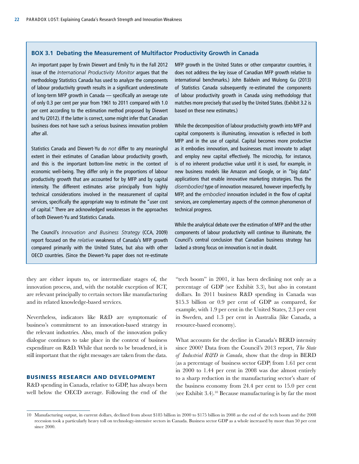#### **BOX 3.1 Debating the Measurement of Multifactor Productivity Growth in Canada**

An important paper by Erwin Diewert and Emily Yu in the Fall 2012 issue of the *International Productivity Monitor* argues that the methodology Statistics Canada has used to analyze the components of labour productivity growth results in a significant underestimate of long-term MFP growth in Canada — specifically an average rate of only 0.3 per cent per year from 1961 to 2011 compared with 1.0 per cent according to the estimation method proposed by Diewert and Yu (2012). If the latter is correct, some might infer that Canadian business does not have such a serious business innovation problem after all.

Statistics Canada and Diewert-Yu do *not* differ to any meaningful extent in their estimates of Canadian labour productivity growth, and this is the important bottom-line metric in the context of economic well-being. They differ only in the proportions of labour productivity growth that are accounted for by MFP and by capital intensity. The different estimates arise principally from highly technical considerations involved in the measurement of capital services, specifically the appropriate way to estimate the "user cost of capital." There are acknowledged weaknesses in the approaches of both Diewert-Yu and Statistics Canada.

The Council's *Innovation and Business Strategy* (CCA, 2009) report focused on the *relative* weakness of Canada's MFP growth compared primarily with the United States, but also with other OECD countries. (Since the Diewert-Yu paper does not re-estimate

they are either inputs to, or intermediate stages of, the innovation process, and, with the notable exception of ICT, are relevant principally to certain sectors like manufacturing and its related knowledge-based services.

Nevertheless, indicators like R&D are symptomatic of business's commitment to an innovation-based strategy in the relevant industries. Also, much of the innovation policy dialogue continues to take place in the context of business expenditure on R&D. While that needs to be broadened, it is still important that the right messages are taken from the data.

#### Business Research and Development

R&D spending in Canada, relative to GDP, has always been well below the OECD average. Following the end of the MFP growth in the United States or other comparator countries, it does not address the key issue of Canadian MFP growth relative to international benchmarks.) John Baldwin and Wulong Gu (2013) of Statistics Canada subsequently re-estimated the components of labour productivity growth in Canada using methodology that matches more precisely that used by the United States. (Exhibit 3.2 is based on these new estimates.)

While the decomposition of labour productivity growth into MFP and capital components is illuminating, innovation is reflected in both MFP and in the use of capital. Capital becomes more productive as it embodies innovation, and businesses must innovate to adapt and employ new capital effectively. The microchip, for instance, is of no inherent productive value until it is used, for example, in new business models like Amazon and Google, or in "big data" applications that enable innovative marketing strategies. Thus the *disembodied* type of innovation measured, however imperfectly, by MFP, and the *embodied* innovation included in the flow of capital services, are complementary aspects of the common phenomenon of technical progress.

While the analytical debate over the estimation of MFP and the other components of labour productivity will continue to illuminate, the Council's central conclusion that Canadian business strategy has lacked a strong focus on innovation is not in doubt.

"tech boom" in 2001, it has been declining not only as a percentage of GDP (see Exhibit 3.3), but also in constant dollars. In 2011 business R&D spending in Canada was \$15.3 billion or 0.9 per cent of GDP as compared, for example, with 1.9 per cent in the United States, 2.3 per cent in Sweden, and 1.3 per cent in Australia (like Canada, a resource-based economy).

What accounts for the decline in Canada's BERD intensity since 2000? Data from the Council's 2013 report, *The State of Industrial R&D in Canada*, show that the drop in BERD (as a percentage of business sector GDP) from 1.61 per cent in 2000 to 1.44 per cent in 2008 was due almost entirely to a sharp reduction in the manufacturing sector's share of the business economy from 24.4 per cent to 15.0 per cent (see Exhibit 3.4).10 Because manufacturing is by far the most

<sup>10</sup> Manufacturing output, in current dollars, declined from about \$185 billion in 2000 to \$175 billion in 2008 as the end of the tech boom and the 2008 recession took a particularly heavy toll on technology-intensive sectors in Canada. Business sector GDP as a whole increased by more than 50 per cent since 2000.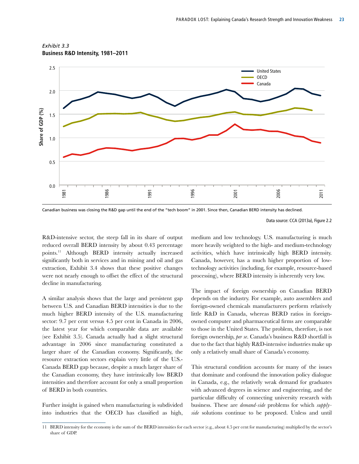



Canadian business was closing the R&D gap until the end of the "tech boom" in 2001. Since then, Canadian BERD intensity has declined.

R&D-intensive sector, the steep fall in its share of output reduced overall BERD intensity by about 0.43 percentage points.11 Although BERD intensity actually increased significantly both in services and in mining and oil and gas extraction, Exhibit 3.4 shows that these positive changes were not nearly enough to offset the effect of the structural decline in manufacturing.

A similar analysis shows that the large and persistent gap between U.S. and Canadian BERD intensities is due to the much higher BERD intensity of the U.S. manufacturing sector: 9.7 per cent versus 4.5 per cent in Canada in 2006, the latest year for which comparable data are available (see Exhibit 3.5). Canada actually had a slight structural advantage in 2006 since manufacturing constituted a larger share of the Canadian economy. Significantly, the resource extraction sectors explain very little of the U.S.- Canada BERD gap because, despite a much larger share of the Canadian economy, they have intrinsically low BERD intensities and therefore account for only a small proportion of BERD in both countries.

Further insight is gained when manufacturing is subdivided into industries that the OECD has classified as high, medium and low technology. U.S. manufacturing is much more heavily weighted to the high- and medium-technology activities, which have intrinsically high BERD intensity. Canada, however, has a much higher proportion of lowtechnology activities (including, for example, resource-based processing), where BERD intensity is inherently very low.

The impact of foreign ownership on Canadian BERD depends on the industry. For example, auto assemblers and foreign-owned chemicals manufacturers perform relatively little R&D in Canada, whereas BERD ratios in foreignowned computer and pharmaceutical firms are comparable to those in the United States. The problem, therefore, is not foreign ownership, *per se*. Canada's business R&D shortfall is due to the fact that highly R&D-intensive industries make up only a relatively small share of Canada's economy.

This structural condition accounts for many of the issues that dominate and confound the innovation policy dialogue in Canada, e.g., the relatively weak demand for graduates with advanced degrees in science and engineering, and the particular difficulty of connecting university research with business. These are *demand-side* problems for which *supplyside* solutions continue to be proposed. Unless and until

Data source: CCA (2013a), Figure 2.2

<sup>11</sup> BERD intensity for the economy is the sum of the BERD intensities for each sector (e.g., about 4.5 per cent for manufacturing) multiplied by the sector's share of GDP.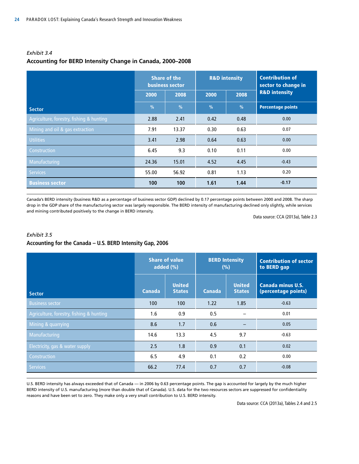| Exhibit 3.4                                               |  |
|-----------------------------------------------------------|--|
| Accounting for BERD Intensity Change in Canada, 2000-2008 |  |

|                                          |       | <b>Share of the</b><br><b>business sector</b> |               | <b>R&amp;D</b> intensity | <b>Contribution of</b><br>sector to change in |  |
|------------------------------------------|-------|-----------------------------------------------|---------------|--------------------------|-----------------------------------------------|--|
|                                          | 2000  | 2008                                          | 2000          | 2008                     | <b>R&amp;D</b> intensity                      |  |
| <b>Sector</b>                            | %     | $\frac{0}{0}$                                 | $\frac{9}{6}$ | $\frac{0}{0}$            | <b>Percentage points</b>                      |  |
| Agriculture, forestry, fishing & hunting | 2.88  | 2.41                                          | 0.42          | 0.48                     | 0.00                                          |  |
| Mining and oil & gas extraction          | 7.91  | 13.37                                         | 0.30          | 0.63                     | 0.07                                          |  |
| <b>Utilities</b>                         | 3.41  | 2.98                                          | 0.64          | 0.63                     | 0.00                                          |  |
| Construction                             | 6.45  | 9.3                                           | 0.10          | 0.11                     | 0.00                                          |  |
| Manufacturing                            | 24.36 | 15.01                                         | 4.52          | 4.45                     | $-0.43$                                       |  |
| <b>Services</b>                          | 55.00 | 56.92                                         | 0.81          | 1.13                     | 0.20                                          |  |
| <b>Business sector</b>                   | 100   | 100                                           | 1.61          | 1.44                     | $-0.17$                                       |  |

Canada's BERD intensity (business R&D as a percentage of business sector GDP) declined by 0.17 percentage points between 2000 and 2008. The sharp drop in the GDP share of the manufacturing sector was largely responsible. The BERD intensity of manufacturing declined only slightly, while services and mining contributed positively to the change in BERD intensity.

Data source: CCA (2013a), Table 2.3

#### *Exhibit 3.5*

#### **Accounting for the Canada – U.S. BERD Intensity Gap, 2006**

|                                          |               | <b>Share of value</b><br>added $(\% )$ |               | <b>BERD Intensity</b><br>(%)   | <b>Contribution of sector</b><br>to BERD gap    |
|------------------------------------------|---------------|----------------------------------------|---------------|--------------------------------|-------------------------------------------------|
| Sector                                   | <b>Canada</b> | <b>United</b><br><b>States</b>         | <b>Canada</b> | <b>United</b><br><b>States</b> | <b>Canada minus U.S.</b><br>(percentage points) |
| <b>Business sector</b>                   | 100           | 100                                    | 1.22          | 1.85                           | $-0.63$                                         |
| Agriculture, forestry, fishing & hunting | 1.6           | 0.9                                    | 0.5           |                                | 0.01                                            |
| Mining & quarrying                       | 8.6           | 1.7                                    | 0.6           |                                | 0.05                                            |
| Manufacturing                            | 14.6          | 13.3                                   | 4.5           | 9.7                            | $-0.63$                                         |
| Electricity, gas & water supply          | 2.5           | 1.8                                    | 0.9           | 0.1                            | 0.02                                            |
| Construction                             | 6.5           | 4.9                                    | 0.2<br>0.1    |                                | 0.00                                            |
| <b>Services</b>                          | 66.2          | 77.4                                   | 0.7           | 0.7                            | $-0.08$                                         |

U.S. BERD intensity has always exceeded that of Canada — in 2006 by 0.63 percentage points. The gap is accounted for largely by the much higher BERD intensity of U.S. manufacturing (more than double that of Canada). U.S. data for the two resources sectors are suppressed for confidentiality reasons and have been set to zero. They make only a very small contribution to U.S. BERD intensity.

Data source: CCA (2013a), Tables 2.4 and 2.5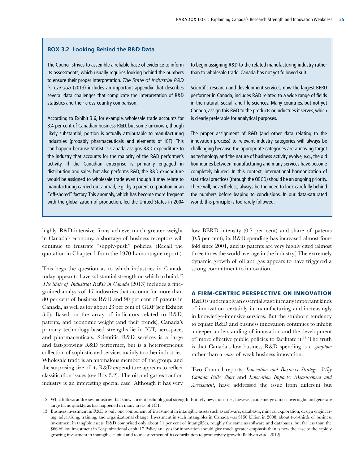#### **BOX 3.2 Looking Behind the R&D Data**

The Council strives to assemble a reliable base of evidence to inform its assessments, which usually requires looking behind the numbers to ensure their proper interpretation. *The State of Industrial R&D in Canada* (2013) includes an important appendix that describes several data challenges that complicate the interpretation of R&D statistics and their cross-country comparison.

According to Exhibit 3.6, for example, wholesale trade accounts for 8.4 per cent of Canadian business R&D, but some unknown, though likely substantial, portion is actually attributable to manufacturing industries (probably pharmaceuticals and elements of ICT). This can happen because Statistics Canada assigns R&D expenditure to the industry that accounts for the majority of the R&D performer's activity. If the Canadian enterprise is primarily engaged in distribution and sales, but also performs R&D, the R&D expenditure would be assigned to wholesale trade even though it may relate to manufacturing carried out abroad, e.g., by a parent corporation or an "off-shored" factory. This anomaly, which has become more frequent with the globalization of production, led the United States in 2004

highly R&D-intensive firms achieve much greater weight in Canada's economy, a shortage of business receptors will continue to frustrate "supply-push" policies. (Recall the quotation in Chapter 1 from the 1970 Lamontagne report.)

This begs the question as to which industries in Canada today appear to have substantial strength on which to build.<sup>12</sup> *The State of Industrial R&D in Canada* (2013) includes a finegrained analysis of 17 industries that account for more than 80 per cent of business R&D and 90 per cent of patents in Canada, as well as for about 23 per cent of GDP (see Exhibit 3.6). Based on the array of indicators related to R&D, patents, and economic weight (and their trends), Canada's primary technology-based strengths lie in ICT, aerospace, and pharmaceuticals. Scientific R&D services is a large and fast-growing R&D performer, but is a heterogeneous collection of sophisticated services mainly to other industries. Wholesale trade is an anomalous member of the group, and the surprising size of its R&D expenditure appears to reflect classification issues (see Box 3.2). The oil and gas extraction industry is an interesting special case. Although it has very

to begin assigning R&D to the related manufacturing industry rather than to wholesale trade. Canada has not yet followed suit.

Scientific research and development services, now the largest BERD performer in Canada, includes R&D related to a wide range of fields in the natural, social, and life sciences. Many countries, but not yet Canada, assign this R&D to the products or industries it serves, which is clearly preferable for analytical purposes.

The proper assignment of R&D (and other data relating to the innovation process) to relevant industry categories will always be challenging because the appropriate categories are a moving target as technology and the nature of business activity evolve, e.g., the old boundaries between manufacturing and many services have become completely blurred. In this context, international harmonization of statistical practices (through the OECD) should be an ongoing priority. There will, nevertheless, always be the need to look carefully behind the numbers before leaping to conclusions. In our data-saturated world, this principle is too rarely followed.

low BERD intensity (0.7 per cent) and share of patents (0.5 per cent), its R&D spending has increased almost fourfold since 2001, and its patents are very highly cited (almost three times the world average in the industry.) The extremely dynamic growth of oil and gas appears to have triggered a strong commitment to innovation.

#### A Firm-Centric Perspective on Innovation

R&D is undeniably an essential stage in many important kinds of innovation, certainly in manufacturing and increasingly in knowledge-intensive services. But the stubborn tendency to equate R&D and business innovation continues to inhibit a deeper understanding of innovation and the development of more effective public policies to facilitate it.13 The truth is that Canada's low business R&D spending is a *symptom* rather than a *cause* of weak business innovation.

Two Council reports, *Innovation and Business Strategy: Why Canada Falls Short* and *Innovation Impacts: Measurement and Assessment*, have addressed the issue from different but

<sup>12</sup> What follows addresses industries that show current technological strength. Entirely new industries, however, can emerge almost overnight and generate large firms quickly, as has happened in many areas of ICT.

<sup>13</sup> Business investment in R&D is only one component of investment in intangible assets such as software, databases, mineral exploration, design engineering, advertising, training, and organizational change. Investment in such intangibles in Canada was \$150 billion in 2008, about two-thirds of business investment in tangible assets. R&D comprised only about 11 per cent of intangibles, roughly the same as software and databases, but far less than the \$66 billion investment in "organizational capital." Policy analysis for innovation should give much greater emphasis than is now the case to the rapidly growing investment in intangible capital and to measurement of its contribution to productivity growth (Baldwin *et al.*, 2012).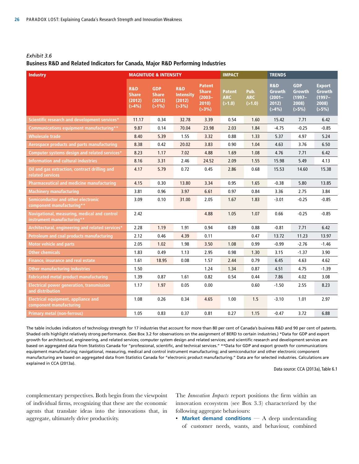#### *Exhibit 3.6* **Business R&D and Related Indicators for Canada, Major R&D Performing Industries**

| <b>Industry</b>                                                            |                                                        | <b>MAGNITUDE &amp; INTENSITY</b>                 |                                                            |                                                                  | <b>IMPACT</b>                         |                              | <b>TRENDS</b>                                                  |                                                            |                                                               |
|----------------------------------------------------------------------------|--------------------------------------------------------|--------------------------------------------------|------------------------------------------------------------|------------------------------------------------------------------|---------------------------------------|------------------------------|----------------------------------------------------------------|------------------------------------------------------------|---------------------------------------------------------------|
|                                                                            | <b>R&amp;D</b><br><b>Share</b><br>(2012)<br>$( > 4\%)$ | <b>GDP</b><br><b>Share</b><br>(2012)<br>$(>1\%)$ | <b>R&amp;D</b><br><b>Intensity</b><br>(2012)<br>$( > 3\%)$ | <b>Patent</b><br><b>Share</b><br>$(2003 -$<br>2010<br>$( > 3\%)$ | <b>Patent</b><br><b>ARC</b><br>(>1.0) | Pub.<br><b>ARC</b><br>(>1.0) | <b>R&amp;D</b><br><b>Growth</b><br>$(2001 -$<br>2012)<br>(>4%) | <b>GDP</b><br><b>Growth</b><br>$(1997 -$<br>2008)<br>(55%) | <b>Export</b><br><b>Growth</b><br>$(1997 -$<br>2008)<br>(55%) |
| Scientific research and development services*                              | 11.17                                                  | 0.34                                             | 32.78                                                      | 3.39                                                             | 0.54                                  | 1.60                         | 15.42                                                          | 7.71                                                       | 6.42                                                          |
| Communications equipment manufacturing**                                   | 9.87                                                   | 0.14                                             | 70.04                                                      | 23.98                                                            | 2.03                                  | 1.84                         | $-4.75$                                                        | $-0.25$                                                    | $-0.85$                                                       |
| Wholesale trade                                                            | 8.40                                                   | 5.39                                             | 1.55                                                       | 3.32                                                             | 0.88                                  | 1.33                         | 5.37                                                           | 4.97                                                       | 5.24                                                          |
| Aerospace products and parts manufacturing                                 | 8.38                                                   | 0.42                                             | 20.02                                                      | 3.83                                                             | 0.90                                  | 1.04                         | 4.63                                                           | 3.76                                                       | 6.50                                                          |
| Computer systems design and related services*                              | 8.23                                                   | 1.17                                             | 7.02                                                       | 4.88                                                             | 1.69                                  | 1.08                         | 4.76                                                           | 7.71                                                       | 6.42                                                          |
| <b>Information and cultural industries</b>                                 | 8.16                                                   | 3.31                                             | 2.46                                                       | 24.52                                                            | 2.09                                  | 1.55                         | 15.98                                                          | 5.49                                                       | 4.13                                                          |
| Oil and gas extraction, contract drilling and<br>related services          | 4.17                                                   | 5.79                                             | 0.72                                                       | 0.45                                                             | 2.86                                  | 0.68                         | 15.53                                                          | 14.60                                                      | 15.38                                                         |
| Pharmaceutical and medicine manufacturing                                  | 4.15                                                   | 0.30                                             | 13.80                                                      | 3.34                                                             | 0.95                                  | 1.65                         | $-0.38$                                                        | 5.80                                                       | 13.85                                                         |
| <b>Machinery manufacturing</b>                                             | 3.81                                                   | 0.96                                             | 3.97                                                       | 6.61                                                             | 0.97                                  | 0.84                         | 3.36                                                           | 2.75                                                       | 3.84                                                          |
| Semiconductor and other electronic<br>component manufacturing**            | 3.09                                                   | 0.10                                             | 31.00                                                      | 2.05                                                             | 1.67                                  | 1.83                         | $-3.01$                                                        | $-0.25$                                                    | $-0.85$                                                       |
| Navigational, measuring, medical and control<br>instrument manufacturing** | 2.42                                                   |                                                  |                                                            | 4.88                                                             | 1.05                                  | 1.07                         | 0.66                                                           | $-0.25$                                                    | $-0.85$                                                       |
| Architectural, engineering and related services*                           | 2.28                                                   | 1.19                                             | 1.91                                                       | 0.94                                                             | 0.89                                  | 0.88                         | $-0.81$                                                        | 7.71                                                       | 6.42                                                          |
| Petroleum and coal products manufacturing                                  | 2.12                                                   | 0.46                                             | 4.39                                                       | 0.11                                                             |                                       | 0.47                         | 13.72                                                          | 11.23                                                      | 13.97                                                         |
| <b>Motor vehicle and parts</b>                                             | 2.05                                                   | 1.02                                             | 1.98                                                       | 3.50                                                             | 1.08                                  | 0.99                         | $-0.99$                                                        | $-2.76$                                                    | $-1.46$                                                       |
| Other chemicals                                                            | 1.83                                                   | 0.49                                             | 1.13                                                       | 2.95                                                             | 0.98                                  | 1.30                         | 3.15                                                           | $-1.37$                                                    | 3.90                                                          |
| <b>Finance, insurance and real estate</b>                                  | 1.61                                                   | 18.95                                            | 0.08                                                       | 1.57                                                             | 2.44                                  | 0.79                         | 6.45                                                           | 4.63                                                       | 4.62                                                          |
| <b>Other manufacturing industries</b>                                      | 1.50                                                   |                                                  |                                                            | 1.24                                                             | 1.34                                  | 0.87                         | 4.51                                                           | 4.75                                                       | $-1.39$                                                       |
| <b>Fabricated metal product manufacturing</b>                              | 1.39                                                   | 0.87                                             | 1.61                                                       | 0.82                                                             | 0.54                                  | 0.44                         | 7.86                                                           | 4.02                                                       | 3.08                                                          |
| <b>Electrical power generation, transmission</b><br>and distribution       | 1.17                                                   | 1.97                                             | 0.05                                                       | 0.00                                                             |                                       | 0.60                         | $-1.50$                                                        | 2.55                                                       | 8.23                                                          |
| Electrical equipment, appliance and<br>component manufacturing             | 1.08                                                   | 0.26                                             | 0.34                                                       | 4.65                                                             | 1.00                                  | 1.5                          | $-3.10$                                                        | 1.01                                                       | 2.97                                                          |
| <b>Primary metal (non-ferrous)</b>                                         | 1.05                                                   | 0.83                                             | 0.37                                                       | 0.81                                                             | 0.27                                  | 1.15                         | $-0.47$                                                        | 3.72                                                       | 6.88                                                          |

The table includes indicators of technology strength for 17 industries that account for more than 80 per cent of Canada's business R&D and 90 per cent of patents. Shaded cells highlight relatively strong performance. (See Box 3.2 for observations on the assignment of BERD to certain industries.) \*Data for GDP and export growth for architectural, engineering, and related services; computer system design and related services; and scientific research and development services are based on aggregated data from Statistics Canada for "professional, scientific, and technical services." \*\*Data for GDP and export growth for communications equipment manufacturing; navigational, measuring, medical and control instrument manufacturing; and semiconductor and other electronic component manufacturing are based on aggregated data from Statistics Canada for "electronic product manufacturing." Data are for selected industries. Calculations are explained in CCA (2013a).

Data source: CCA (2013a), Table 6.1

complementary perspectives. Both begin from the viewpoint of individual firms, recognizing that these are the economic agents that translate ideas into the innovations that, in aggregate, ultimately drive productivity.

The *Innovation Impacts* report positions the firm within an innovation ecosystem (see Box 3.3) characterized by the following aggregate behaviours:

• **Market demand conditions** — A deep understanding of customer needs, wants, and behaviour, combined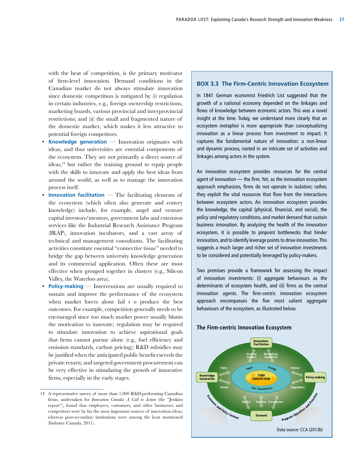with the heat of competition, is the primary motivator of firm-level innovation. Demand conditions in the Canadian market do not always stimulate innovation since domestic competition is mitigated by (i) regulation in certain industries, e.g., foreign ownership restrictions, marketing boards, various provincial and interprovincial restrictions; and (ii) the small and fragmented nature of the domestic market, which makes it less attractive to potential foreign competitors.

- **Knowledge generation** Innovation originates with ideas, and thus universities are essential components of the ecosystem. They are not primarily a direct source of ideas,<sup>14</sup> but rather the training ground to equip people with the skills to innovate and apply the best ideas from around the world, as well as to manage the innovation process itself.
- **Innovation facilitation** The facilitating elements of the ecosystem (which often also generate and convey knowledge) include, for example, angel and venture capital investors/mentors, government labs and extension services like the Industrial Research Assistance Program (IRAP), innovation incubators, and a vast array of technical and management consultants. The facilitating activities constitute essential "connective tissue" needed to bridge the gap between university knowledge generation and its commercial application. Often these are most effective when grouped together in clusters (e.g., Silicon Valley, the Waterloo area).
- **Policy-making** Interventions are usually required to sustain and improve the performance of the ecosystem when market forces alone fail t o produce the best outcomes. For example, competition generally needs to be encouraged since too much market power usually blunts the motivation to innovate; regulation may be required to stimulate innovation to achieve aspirational goals that firms cannot pursue alone (e.g., fuel efficiency and emission standards, carbon pricing); R&D subsidies may be justified when the anticipated public benefit exceeds the private return; and targeted government procurement can be very effective in stimulating the growth of innovative firms, especially in the early stages.

#### **BOX 3.3 The Firm-Centric Innovation Ecosystem**

In 1841 German economist Friedrich List suggested that the growth of a national economy depended on the linkages and flows of knowledge between economic actors. This was a novel insight at the time. Today, we understand more clearly that an ecosystem metaphor is more appropriate than conceptualizing innovation as a linear process from investment to impact. It captures the fundamental nature of innovation: a non-linear and dynamic process, rooted in an intricate set of activities and linkages among actors in the system.

An innovation ecosystem provides resources for the central agent of innovation — the firm. Yet, as the innovation ecosystem approach emphasizes, firms do not operate in isolation; rather, they exploit the vital resources that flow from the interactions between ecosystem actors. An innovation ecosystem provides the knowledge, the capital (physical, financial, and social), the policy and regulatory conditions, and market demand that sustain business innovation. By analyzing the health of the innovation ecosystem, it is possible to pinpoint bottlenecks that hinder innovation, and to identify leverage points to drive innovation. This suggests a much larger and richer set of innovation investments to be considered and potentially leveraged by policy-makers.

Two premises provide a framework for assessing the impact of innovation investments: (i) aggregate behaviours as the determinants of ecosystem health, and (ii) firms as the central innovation agents. The firm-centric innovation ecosystem approach encompasses the five most salient aggregate behaviours of the ecosystem, as illustrated below.



#### **The Firm-centric Innovation Ecosystem**

<sup>14</sup> A representative survey of more than 1,000 R&D-performing Canadian firms, undertaken for *Innovation Canada: A Call to Action* (the "Jenkins report"), found that employees, customers, and other businesses and competitors were by far the most important sources of innovation ideas; whereas post-secondary institutions were among the least mentioned (Industry Canada, 2011).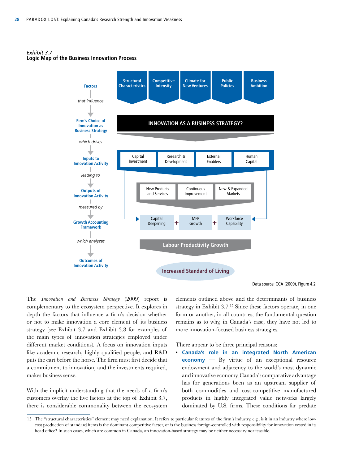LOGIC MAP OF THE BUSINESS INNOVATION PROCESS INNOVATION PROCESS INNOVATION PROCESS INNOVATION PROCESS. *Exhibit 3.7* **Logic Map of the Business Innovation Process**



Data source: CCA (2009), Figure 4.2

The *Innovation and Business Strategy* (2009) report is complementary to the ecosystem perspective. It explores in depth the factors that influence a firm's decision whether or not to make innovation a core element of its business strategy (see Exhibit 3.7 and Exhibit 3.8 for examples of the main types of innovation strategies employed under different market conditions). A focus on innovation inputs like academic research, highly qualified people, and R&D puts the cart before the horse. The firm must first decide that a commitment to innovation, and the investments required, makes business sense.

With the implicit understanding that the needs of a firm's customers overlay the five factors at the top of Exhibit 3.7, there is considerable commonality between the ecosystem

elements outlined above and the determinants of business strategy in Exhibit 3.7.<sup>15</sup> Since these factors operate, in one form or another, in all countries, the fundamental question remains as to why, in Canada's case, they have not led to more innovation-focused business strategies.

There appear to be three principal reasons:

• **Canada's role in an integrated North American economy** — By virtue of an exceptional resource endowment and adjacency to the world's most dynamic and innovative economy, Canada's comparative advantage has for generations been as an upstream supplier of both commodities and cost-competitive manufactured products in highly integrated value networks largely dominated by U.S. firms. These conditions far predate

<sup>15</sup> The "structural characteristics" element may need explanation. It refers to particular features of the firm's industry, e.g., is it in an industry where lowcost production of standard items is the dominant competitive factor, or is the business foreign-controlled with responsibility for innovation vested in its head office? In such cases, which are common in Canada, an innovation-based strategy may be neither necessary nor feasible.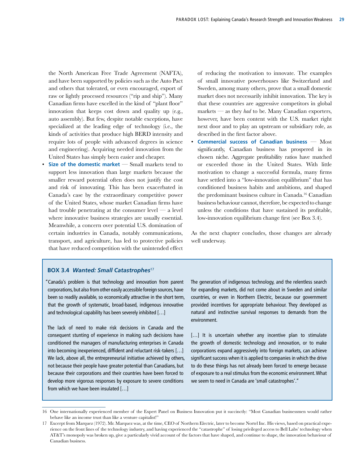the North American Free Trade Agreement (NAFTA), and have been supported by policies such as the Auto Pact and others that tolerated, or even encouraged, export of raw or lightly processed resources ("rip and ship"). Many Canadian firms have excelled in the kind of "plant floor" innovation that keeps cost down and quality up (e.g., auto assembly). But few, despite notable exceptions, have specialized at the leading edge of technology (i.e., the kinds of activities that produce high BERD intensity and require lots of people with advanced degrees in science and engineering). Acquiring needed innovation from the United States has simply been easier and cheaper.

• **Size of the domestic market** — Small markets tend to support less innovation than large markets because the smaller reward potential often does not justify the cost and risk of innovating. This has been exacerbated in Canada's case by the extraordinary competitive power of the United States, whose market Canadian firms have had trouble penetrating at the consumer level  $-$  a level where innovative business strategies are usually essential. Meanwhile, a concern over potential U.S. domination of certain industries in Canada, notably communications, transport, and agriculture, has led to protective policies that have reduced competition with the unintended effect

of reducing the motivation to innovate. The examples of small innovative powerhouses like Switzerland and Sweden, among many others, prove that a small domestic market does not necessarily inhibit innovation. The key is that these countries are aggressive competitors in global markets — as they *had* to be. Many Canadian exporters, however, have been content with the U.S. market right next door and to play an upstream or subsidiary role, as described in the first factor above.

• **Commercial success of Canadian business** — Most significantly, Canadian business has prospered in its chosen niche. Aggregate profitability ratios have matched or exceeded those in the United States. With little motivation to change a successful formula, many firms have settled into a "low-innovation equilibrium" that has conditioned business habits and ambitions, and shaped the predominant business culture in Canada.16 Canadian business behaviour cannot, therefore, be expected to change unless the conditions that have sustained its profitable, low-innovation equilibrium change first (see Box 3.4).

As the next chapter concludes, those changes are already well underway.

#### **BOX 3.4** *Wanted: Small Catastrophes*<sup>17</sup>

"Canada's problem is that technology and innovation from parent corporations, but also from other easily accessible foreign sources, have been so readily available, so economically attractive in the short term, that the growth of systematic, broad-based, indigenous innovative and technological capability has been severely inhibited […]

into becoming inexperienced, diffident and reluctant risk-takers  $[...]$ The lack of need to make risk decisions in Canada and the consequent stunting of experience in making such decisions have conditioned the managers of manufacturing enterprises in Canada We lack, above all, the entrepreneurial initiative achieved by others, not because their people have greater potential than Canadians, but because their corporations and their countries have been forced to develop more vigorous responses by exposure to severe conditions from which we have been insulated […]

The generation of indigenous technology, and the relentless search for expanding markets, did not come about in Sweden and similar countries, or even in Northern Electric, because our government provided incentives for appropriate behaviour. They developed as natural and instinctive survival responses to demands from the environment.

[...] It is uncertain whether any incentive plan to stimulate the growth of domestic technology and innovation, or to make corporations expand aggressively into foreign markets, can achieve significant success when it is applied to companies in which the drive to do these things has not already been forced to emerge because of exposure to a real stimulus from the economic environment. What we seem to need in Canada are 'small catastrophes'."

<sup>16</sup> One internationally experienced member of the Expert Panel on Business Innovation put it succinctly: "Most Canadian businessmen would rather behave like an income trust than like a venture capitalist!"

<sup>17</sup> Excerpt from Marquez (1972). Mr. Marquez was, at the time, CEO of Northern Electric, later to become Nortel Inc. His views, based on practical experience on the front lines of the technology industry, and having experienced the "catastrophe" of losing privileged access to Bell Labs' technology when AT&T's monopoly was broken up, give a particularly vivid account of the factors that have shaped, and continue to shape, the innovation behaviour of Canadian business.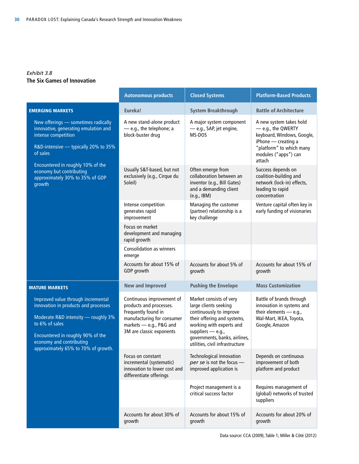#### *Exhibit 3.8* **The Six Games of Innovation**

|                                                                                                                                                                                                                                             | <b>Autonomous products</b>                                                                                                                                       | <b>Closed Systems</b>                                                                                                                                                                                                             | <b>Platform-Based Products</b>                                                                                                                                   |
|---------------------------------------------------------------------------------------------------------------------------------------------------------------------------------------------------------------------------------------------|------------------------------------------------------------------------------------------------------------------------------------------------------------------|-----------------------------------------------------------------------------------------------------------------------------------------------------------------------------------------------------------------------------------|------------------------------------------------------------------------------------------------------------------------------------------------------------------|
| <b>EMERGING MARKETS</b>                                                                                                                                                                                                                     | Eureka!                                                                                                                                                          | <b>System Breakthrough</b>                                                                                                                                                                                                        | <b>Battle of Architecture</b>                                                                                                                                    |
| New offerings - sometimes radically<br>innovative, generating emulation and<br>intense competition<br>R&D-intensive - typically 20% to 35%<br>of sales                                                                                      | A new stand-alone product<br>- e.g., the telephone; a<br>block-buster drug                                                                                       | A major system component<br>- e.g., SAP, jet engine,<br>MS-DOS                                                                                                                                                                    | A new system takes hold<br>- e.g., the QWERTY<br>keyboard, Windows, Google,<br>iPhone - creating a<br>"platform" to which many<br>modules ("apps") can<br>attach |
| Encountered in roughly 10% of the<br>economy but contributing<br>approximately 30% to 35% of GDP<br>growth                                                                                                                                  | Usually S&T-based, but not<br>exclusively (e.g., Cirque du<br>Soleil)                                                                                            | Often emerge from<br>collaboration between an<br>inventor (e.g., Bill Gates)<br>and a demanding client<br>(e.g., IBM)                                                                                                             | Success depends on<br>coalition-building and<br>network (lock-in) effects,<br>leading to rapid<br>concentration                                                  |
|                                                                                                                                                                                                                                             | Intense competition<br>generates rapid<br>improvement                                                                                                            | Managing the customer<br>(partner) relationship is a<br>key challenge                                                                                                                                                             | Venture capital often key in<br>early funding of visionaries                                                                                                     |
|                                                                                                                                                                                                                                             | Focus on market<br>development and managing<br>rapid growth                                                                                                      |                                                                                                                                                                                                                                   |                                                                                                                                                                  |
|                                                                                                                                                                                                                                             | <b>Consolidation as winners</b><br>emerge                                                                                                                        |                                                                                                                                                                                                                                   |                                                                                                                                                                  |
|                                                                                                                                                                                                                                             | Accounts for about 15% of<br>GDP growth                                                                                                                          | Accounts for about 5% of<br>growth                                                                                                                                                                                                | Accounts for about 15% of<br>growth                                                                                                                              |
| <b>MATURE MARKETS</b>                                                                                                                                                                                                                       | <b>New and Improved</b>                                                                                                                                          | <b>Pushing the Envelope</b>                                                                                                                                                                                                       | <b>Mass Customization</b>                                                                                                                                        |
| Improved value through incremental<br>innovation in products and processes<br>Moderate R&D intensity - roughly 3%<br>to 6% of sales<br>Encountered in roughly 90% of the<br>economy and contributing<br>approximately 65% to 70% of growth. | Continuous improvement of<br>products and processes.<br>Frequently found in<br>manufacturing for consumer<br>markets - e.g., P&G and<br>3M are classic exponents | Market consists of very<br>large clients seeking<br>continuously to improve<br>their offering and systems,<br>working with experts and<br>suppliers $-$ e.g.,<br>governments, banks, airlines,<br>utilities, civil infrastructure | Battle of brands through<br>innovation in systems and<br>their elements $-$ e.g.,<br>Wal-Mart, IKEA, Toyota,<br>Google, Amazon                                   |
|                                                                                                                                                                                                                                             | Focus on constant<br>incremental (systematic)<br>innovation to lower cost and<br>differentiate offerings                                                         | Technological innovation<br>per se is not the focus -<br>improved application is                                                                                                                                                  | Depends on continuous<br>improvement of both<br>platform and product                                                                                             |
|                                                                                                                                                                                                                                             |                                                                                                                                                                  | Project management is a<br>critical success factor                                                                                                                                                                                | Requires management of<br>(global) networks of trusted<br>suppliers                                                                                              |
|                                                                                                                                                                                                                                             | Accounts for about 30% of<br>growth                                                                                                                              | Accounts for about 15% of<br>growth                                                                                                                                                                                               | Accounts for about 20% of<br>growth                                                                                                                              |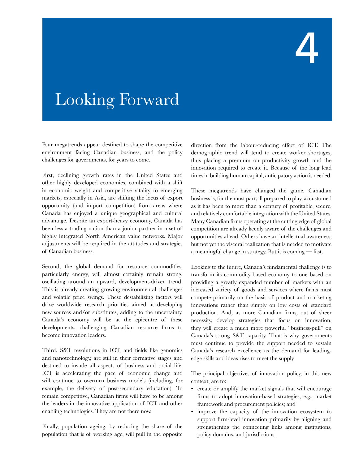# 4

## Looking Forward

Four megatrends appear destined to shape the competitive environment facing Canadian business, and the policy challenges for governments, for years to come.

First, declining growth rates in the United States and other highly developed economies, combined with a shift in economic weight and competitive vitality to emerging markets, especially in Asia, are shifting the locus of export opportunity (and import competition) from areas where Canada has enjoyed a unique geographical and cultural advantage. Despite an export-heavy economy, Canada has been less a trading nation than a junior partner in a set of highly integrated North American value networks. Major adjustments will be required in the attitudes and strategies of Canadian business.

Second, the global demand for resource commodities, particularly energy, will almost certainly remain strong, oscillating around an upward, development-driven trend. This is already creating growing environmental challenges and volatile price swings. These destabilizing factors will drive worldwide research priorities aimed at developing new sources and/or substitutes, adding to the uncertainty. Canada's economy will be at the epicentre of these developments, challenging Canadian resource firms to become innovation leaders.

Third, S&T revolutions in ICT, and fields like genomics and nanotechnology, are still in their formative stages and destined to invade all aspects of business and social life. ICT is accelerating the pace of economic change and will continue to overturn business models (including, for example, the delivery of post-secondary education). To remain competitive, Canadian firms will have to be among the leaders in the innovative application of ICT and other enabling technologies. They are not there now.

Finally, population ageing, by reducing the share of the population that is of working age, will pull in the opposite direction from the labour-reducing effect of ICT. The demographic trend will tend to create worker shortages, thus placing a premium on productivity growth and the innovation required to create it. Because of the long lead times in building human capital, anticipatory action is needed.

These megatrends have changed the game. Canadian business is, for the most part, ill prepared to play, accustomed as it has been to more than a century of profitable, secure, and relatively comfortable integration with the United States. Many Canadian firms operating at the cutting edge of global competition are already keenly aware of the challenges and opportunities ahead. Others have an intellectual awareness, but not yet the visceral realization that is needed to motivate a meaningful change in strategy. But it is coming — fast.

Looking to the future, Canada's fundamental challenge is to transform its commodity-based economy to one based on providing a greatly expanded number of markets with an increased variety of goods and services where firms must compete primarily on the basis of product and marketing innovations rather than simply on low costs of standard production. And, as more Canadian firms, out of sheer necessity, develop strategies that focus on innovation, they will create a much more powerful "business-pull" on Canada's strong S&T capacity. That is why governments must continue to provide the support needed to sustain Canada's research excellence as the demand for leadingedge skills and ideas rises to meet the supply.

The principal objectives of innovation policy, in this new context, are to:

- create or amplify the market signals that will encourage firms to adopt innovation-based strategies, e.g., market framework and procurement policies; and
- improve the capacity of the innovation ecosystem to support firm-level innovation primarily by aligning and strengthening the connecting links among institutions, policy domains, and jurisdictions.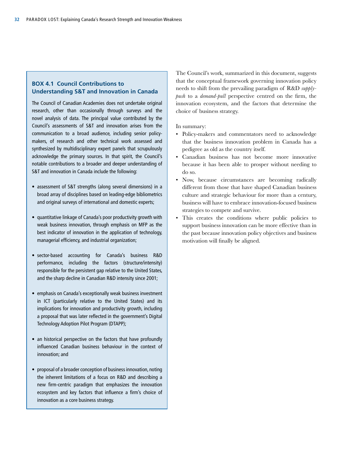#### **BOX 4.1 Council Contributions to Understanding S&T and Innovation in Canada**

The Council of Canadian Academies does not undertake original research, other than occasionally through surveys and the novel analysis of data. The principal value contributed by the Council's assessments of S&T and innovation arises from the communication to a broad audience, including senior policymakers, of research and other technical work assessed and synthesized by multidisciplinary expert panels that scrupulously acknowledge the primary sources. In that spirit, the Council's notable contributions to a broader and deeper understanding of S&T and innovation in Canada include the following:

- assessment of S&T strengths (along several dimensions) in a broad array of disciplines based on leading-edge bibliometrics and original surveys of international and domestic experts;
- quantitative linkage of Canada's poor productivity growth with weak business innovation, through emphasis on MFP as the best indicator of innovation in the application of technology, managerial efficiency, and industrial organization;
- sector-based accounting for Canada's business R&D performance, including the factors (structure/intensity) responsible for the persistent gap relative to the United States, and the sharp decline in Canadian R&D intensity since 2001;
- emphasis on Canada's exceptionally weak business investment in ICT (particularly relative to the United States) and its implications for innovation and productivity growth, including a proposal that was later reflected in the government's Digital Technology Adoption Pilot Program (DTAPP);
- an historical perspective on the factors that have profoundly influenced Canadian business behaviour in the context of innovation; and
- proposal of a broader conception of business innovation, noting the inherent limitations of a focus on R&D and describing a new firm-centric paradigm that emphasizes the innovation ecosystem and key factors that influence a firm's choice of innovation as a core business strategy.

The Council's work, summarized in this document, suggests that the conceptual framework governing innovation policy needs to shift from the prevailing paradigm of R&D *supplypush* to a *demand-pull* perspective centred on the firm, the innovation ecosystem, and the factors that determine the choice of business strategy.

#### In summary:

- Policy-makers and commentators need to acknowledge that the business innovation problem in Canada has a pedigree as old as the country itself.
- Canadian business has not become more innovative because it has been able to prosper without needing to do so.
- Now, because circumstances are becoming radically different from those that have shaped Canadian business culture and strategic behaviour for more than a century, business will have to embrace innovation-focused business strategies to compete and survive.
- This creates the conditions where public policies to support business innovation can be more effective than in the past because innovation policy objectives and business motivation will finally be aligned.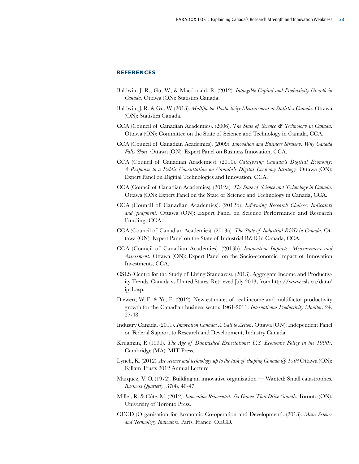#### **REFERENCES**

- Baldwin, J. R., Gu, W., & Macdonald, R. (2012). *Intangible Capital and Productivity Growth in Canada.* Ottawa (ON): Statistics Canada.
- Baldwin, J. R. & Gu, W. (2013). *Multifactor Productivity Measurement at Statistics Canada*. Ottawa (ON): Statistics Canada.
- CCA (Council of Canadian Academies). (2006). *The State of Science & Technology in Canada*. Ottawa (ON): Committee on the State of Science and Technology in Canada, CCA.
- CCA (Council of Canadian Academies). (2009). *Innovation and Business Strategy: Why Canada Falls Short*. Ottawa (ON): Expert Panel on Business Innovation, CCA.
- CCA (Council of Canadian Academies). (2010). *Catalyzing Canada's Digitial Economy: A Response to a Public Consultation on Canada's Digital Economy Strategy*. Ottawa (ON): Expert Panel on Digitial Technologies and Innovation, CCA.
- CCA (Council of Canadian Academies). (2012a). *The State of Science and Technology in Canada*. Ottawa (ON): Expert Panel on the State of Science and Technology in Canada, CCA.
- CCA (Council of Canadian Academies). (2012b). *Informing Research Choices: Indicators and Judgment*. Ottawa (ON): Expert Panel on Science Performance and Research Funding, CCA.
- CCA (Council of Canadian Academies). (2013a). *The State of Industrial R&D in Canada*. Ottawa (ON): Expert Panel on the State of Industrial R&D in Canada, CCA.
- CCA (Council of Canadian Academies). (2013b). *Innovation Impacts: Measurement and Assessment*. Ottawa (ON): Expert Panel on the Socio-economic Impact of Innovation Investments, CCA.
- CSLS (Centre for the Study of Living Standards). (2013). Aggregate Income and Productivity Trends: Canada vs United States. Retrieved July 2013, from http://www.csls.ca/data/ ipt1.asp.
- Diewert, W. E. & Yu, E. (2012). New estimates of real income and multifactor productivity growth for the Canadian business sector, 1961-2011. *International Productivity Monitor*, 24, 27-48.
- Industry Canada. (2011). *Innovation Canada: A Call to Action*. Ottawa (ON): Independent Panel on Federal Support to Research and Development, Industry Canada.
- Krugman, P. (1990). *The Age of Diminished Expectations: U.S. Economic Policy in the 1990s*. Cambridge (MA): MIT Press.
- Lynch, K. (2012). *Are science and technology up to the task of shaping Canada @ 150?* Ottawa (ON): Killam Trusts 2012 Annual Lecture.
- Marquez, V. O. (1972). Building an innovative organization Wanted: Small catastrophes. *Business Quarterly*, 37(4), 40-47.
- Miller, R. & Côté, M. (2012). *Innovation Reinvented: Six Games That Drive Growth*. Toronto (ON): University of Toronto Press.
- OECD (Organisation for Economic Co-operation and Development). (2013). *Main Science and Technology Indicators*. Paris, France: OECD.